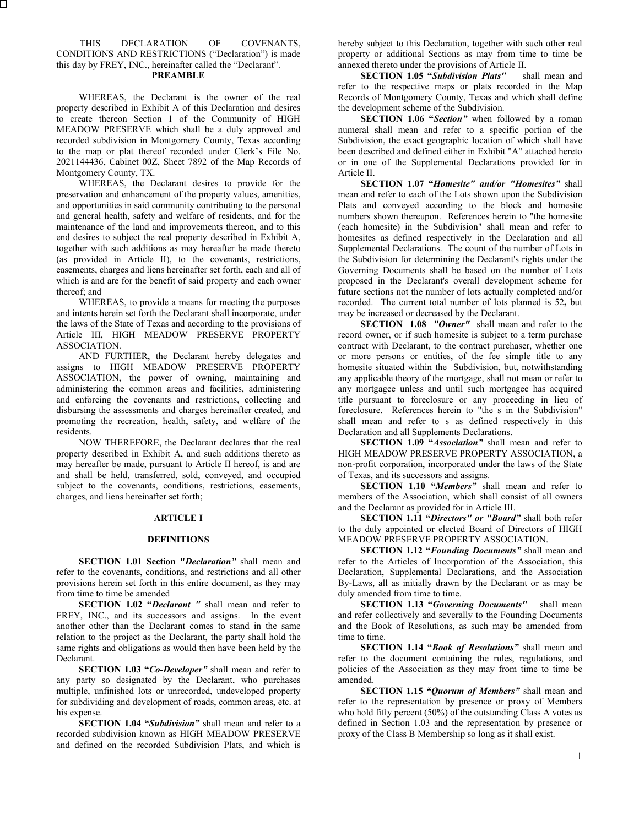#### THIS DECLARATION OF COVENANTS, CONDITIONS AND RESTRICTIONS ("Declaration") is made this day by FREY, INC., hereinafter called the "Declarant". **PREAMBLE**

WHEREAS, the Declarant is the owner of the real property described in Exhibit A of this Declaration and desires to create thereon Section 1 of the Community of HIGH MEADOW PRESERVE which shall be a duly approved and recorded subdivision in Montgomery County, Texas according to the map or plat thereof recorded under Clerk's File No. 2021144436, Cabinet 00Z, Sheet 7892 of the Map Records of Montgomery County, TX.

WHEREAS, the Declarant desires to provide for the preservation and enhancement of the property values, amenities, and opportunities in said community contributing to the personal and general health, safety and welfare of residents, and for the maintenance of the land and improvements thereon, and to this end desires to subject the real property described in Exhibit A, together with such additions as may hereafter be made thereto (as provided in Article II), to the covenants, restrictions, easements, charges and liens hereinafter set forth, each and all of which is and are for the benefit of said property and each owner thereof; and

WHEREAS, to provide a means for meeting the purposes and intents herein set forth the Declarant shall incorporate, under the laws of the State of Texas and according to the provisions of Article III, HIGH MEADOW PRESERVE PROPERTY ASSOCIATION.

AND FURTHER, the Declarant hereby delegates and assigns to HIGH MEADOW PRESERVE PROPERTY ASSOCIATION, the power of owning, maintaining and administering the common areas and facilities, administering and enforcing the covenants and restrictions, collecting and disbursing the assessments and charges hereinafter created, and promoting the recreation, health, safety, and welfare of the residents.

NOW THEREFORE, the Declarant declares that the real property described in Exhibit A, and such additions thereto as may hereafter be made, pursuant to Article II hereof, is and are and shall be held, transferred, sold, conveyed, and occupied subject to the covenants, conditions, restrictions, easements, charges, and liens hereinafter set forth;

#### **ARTICLE I**

### **DEFINITIONS**

**SECTION 1.01 Section "***Declaration"* shall mean and refer to the covenants, conditions, and restrictions and all other provisions herein set forth in this entire document, as they may from time to time be amended

**SECTION 1.02 "***Declarant "* shall mean and refer to FREY, INC., and its successors and assigns. In the event another other than the Declarant comes to stand in the same relation to the project as the Declarant, the party shall hold the same rights and obligations as would then have been held by the Declarant.

**SECTION 1.03 "***Co-Developer"* shall mean and refer to any party so designated by the Declarant, who purchases multiple, unfinished lots or unrecorded, undeveloped property for subdividing and development of roads, common areas, etc. at his expense.

**SECTION 1.04 "***Subdivision"* shall mean and refer to a recorded subdivision known as HIGH MEADOW PRESERVE and defined on the recorded Subdivision Plats, and which is hereby subject to this Declaration, together with such other real property or additional Sections as may from time to time be annexed thereto under the provisions of Article II.

**SECTION 1.05 "***Subdivision Plats"* shall mean and refer to the respective maps or plats recorded in the Map Records of Montgomery County, Texas and which shall define the development scheme of the Subdivision.

**SECTION 1.06 "***Section"* when followed by a roman numeral shall mean and refer to a specific portion of the Subdivision, the exact geographic location of which shall have been described and defined either in Exhibit "A" attached hereto or in one of the Supplemental Declarations provided for in Article II.

**SECTION 1.07 "***Homesite" and/or "Homesites"* shall mean and refer to each of the Lots shown upon the Subdivision Plats and conveyed according to the block and homesite numbers shown thereupon. References herein to "the homesite (each homesite) in the Subdivision" shall mean and refer to homesites as defined respectively in the Declaration and all Supplemental Declarations. The count of the number of Lots in the Subdivision for determining the Declarant's rights under the Governing Documents shall be based on the number of Lots proposed in the Declarant's overall development scheme for future sections not the number of lots actually completed and/or recorded. The current total number of lots planned is 52**,** but may be increased or decreased by the Declarant.

**SECTION 1.08** *"Owner"* shall mean and refer to the record owner, or if such homesite is subject to a term purchase contract with Declarant, to the contract purchaser, whether one or more persons or entities, of the fee simple title to any homesite situated within the Subdivision, but, notwithstanding any applicable theory of the mortgage, shall not mean or refer to any mortgagee unless and until such mortgagee has acquired title pursuant to foreclosure or any proceeding in lieu of foreclosure. References herein to "the s in the Subdivision" shall mean and refer to s as defined respectively in this Declaration and all Supplements Declarations.

**SECTION 1.09 "***Association"* shall mean and refer to HIGH MEADOW PRESERVE PROPERTY ASSOCIATION, a non-profit corporation, incorporated under the laws of the State of Texas, and its successors and assigns.

**SECTION 1.10 "***Members"* shall mean and refer to members of the Association, which shall consist of all owners and the Declarant as provided for in Article III.

**SECTION 1.11 "***Directors" or "Board"* shall both refer to the duly appointed or elected Board of Directors of HIGH MEADOW PRESERVE PROPERTY ASSOCIATION.

**SECTION 1.12 "***Founding Documents"* shall mean and refer to the Articles of Incorporation of the Association, this Declaration, Supplemental Declarations, and the Association By-Laws, all as initially drawn by the Declarant or as may be duly amended from time to time.

**SECTION 1.13 "***Governing Documents"* shall mean and refer collectively and severally to the Founding Documents and the Book of Resolutions, as such may be amended from time to time.

**SECTION 1.14 "***Book of Resolutions"* shall mean and refer to the document containing the rules, regulations, and policies of the Association as they may from time to time be amended.

**SECTION 1.15 "***Quorum of Members"* shall mean and refer to the representation by presence or proxy of Members who hold fifty percent (50%) of the outstanding Class A votes as defined in Section 1.03 and the representation by presence or proxy of the Class B Membership so long as it shall exist.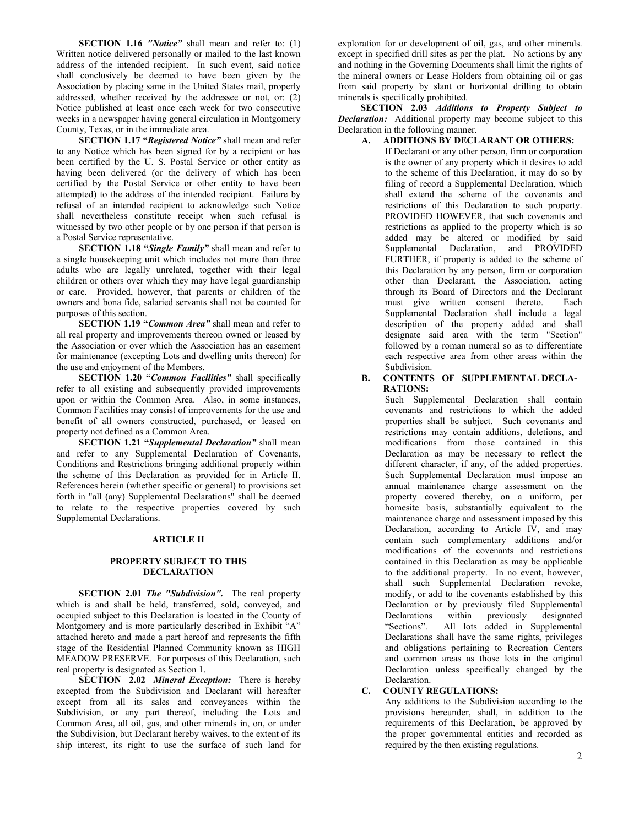**SECTION 1.16** *"Notice"* shall mean and refer to: (1) Written notice delivered personally or mailed to the last known address of the intended recipient. In such event, said notice shall conclusively be deemed to have been given by the Association by placing same in the United States mail, properly addressed, whether received by the addressee or not, or: (2) Notice published at least once each week for two consecutive weeks in a newspaper having general circulation in Montgomery County, Texas, or in the immediate area.

**SECTION 1.17 "***Registered Notice"* shall mean and refer to any Notice which has been signed for by a recipient or has been certified by the U. S. Postal Service or other entity as having been delivered (or the delivery of which has been certified by the Postal Service or other entity to have been attempted) to the address of the intended recipient. Failure by refusal of an intended recipient to acknowledge such Notice shall nevertheless constitute receipt when such refusal is witnessed by two other people or by one person if that person is a Postal Service representative.

**SECTION 1.18 "***Single Family"* shall mean and refer to a single housekeeping unit which includes not more than three adults who are legally unrelated, together with their legal children or others over which they may have legal guardianship or care. Provided, however, that parents or children of the owners and bona fide, salaried servants shall not be counted for purposes of this section.

**SECTION 1.19 "***Common Area"* shall mean and refer to all real property and improvements thereon owned or leased by the Association or over which the Association has an easement for maintenance (excepting Lots and dwelling units thereon) for the use and enjoyment of the Members.

**SECTION 1.20 "***Common Facilities"* shall specifically refer to all existing and subsequently provided improvements upon or within the Common Area. Also, in some instances, Common Facilities may consist of improvements for the use and benefit of all owners constructed, purchased, or leased on property not defined as a Common Area.

**SECTION 1.21 "***Supplemental Declaration"* shall mean and refer to any Supplemental Declaration of Covenants, Conditions and Restrictions bringing additional property within the scheme of this Declaration as provided for in Article II. References herein (whether specific or general) to provisions set forth in "all (any) Supplemental Declarations" shall be deemed to relate to the respective properties covered by such Supplemental Declarations.

### **ARTICLE II**

#### **PROPERTY SUBJECT TO THIS DECLARATION**

**SECTION 2.01** *The "Subdivision".* The real property which is and shall be held, transferred, sold, conveyed, and occupied subject to this Declaration is located in the County of Montgomery and is more particularly described in Exhibit "A" attached hereto and made a part hereof and represents the fifth stage of the Residential Planned Community known as HIGH MEADOW PRESERVE. For purposes of this Declaration, such real property is designated as Section 1.

**SECTION 2.02** *Mineral Exception:* There is hereby excepted from the Subdivision and Declarant will hereafter except from all its sales and conveyances within the Subdivision, or any part thereof, including the Lots and Common Area, all oil, gas, and other minerals in, on, or under the Subdivision, but Declarant hereby waives, to the extent of its ship interest, its right to use the surface of such land for

exploration for or development of oil, gas, and other minerals. except in specified drill sites as per the plat. No actions by any and nothing in the Governing Documents shall limit the rights of the mineral owners or Lease Holders from obtaining oil or gas from said property by slant or horizontal drilling to obtain minerals is specifically prohibited.

**SECTION 2.03** *Additions to Property Subject to Declaration:* Additional property may become subject to this Declaration in the following manner.

#### **A. ADDITIONS BY DECLARANT OR OTHERS:**

If Declarant or any other person, firm or corporation is the owner of any property which it desires to add to the scheme of this Declaration, it may do so by filing of record a Supplemental Declaration, which shall extend the scheme of the covenants and restrictions of this Declaration to such property. PROVIDED HOWEVER, that such covenants and restrictions as applied to the property which is so added may be altered or modified by said Supplemental Declaration, and PROVIDED FURTHER, if property is added to the scheme of this Declaration by any person, firm or corporation other than Declarant, the Association, acting through its Board of Directors and the Declarant must give written consent thereto. Each Supplemental Declaration shall include a legal description of the property added and shall designate said area with the term "Section" followed by a roman numeral so as to differentiate each respective area from other areas within the Subdivision.

### **B. CONTENTS OF SUPPLEMENTAL DECLA-RATIONS:**

Such Supplemental Declaration shall contain covenants and restrictions to which the added properties shall be subject. Such covenants and restrictions may contain additions, deletions, and modifications from those contained in this Declaration as may be necessary to reflect the different character, if any, of the added properties. Such Supplemental Declaration must impose an annual maintenance charge assessment on the property covered thereby, on a uniform, per homesite basis, substantially equivalent to the maintenance charge and assessment imposed by this Declaration, according to Article IV, and may contain such complementary additions and/or modifications of the covenants and restrictions contained in this Declaration as may be applicable to the additional property. In no event, however, shall such Supplemental Declaration revoke, modify, or add to the covenants established by this Declaration or by previously filed Supplemental Declarations within previously designated "Sections". All lots added in Supplemental Declarations shall have the same rights, privileges and obligations pertaining to Recreation Centers and common areas as those lots in the original Declaration unless specifically changed by the Declaration.

#### **C. COUNTY REGULATIONS:**

Any additions to the Subdivision according to the provisions hereunder, shall, in addition to the requirements of this Declaration, be approved by the proper governmental entities and recorded as required by the then existing regulations.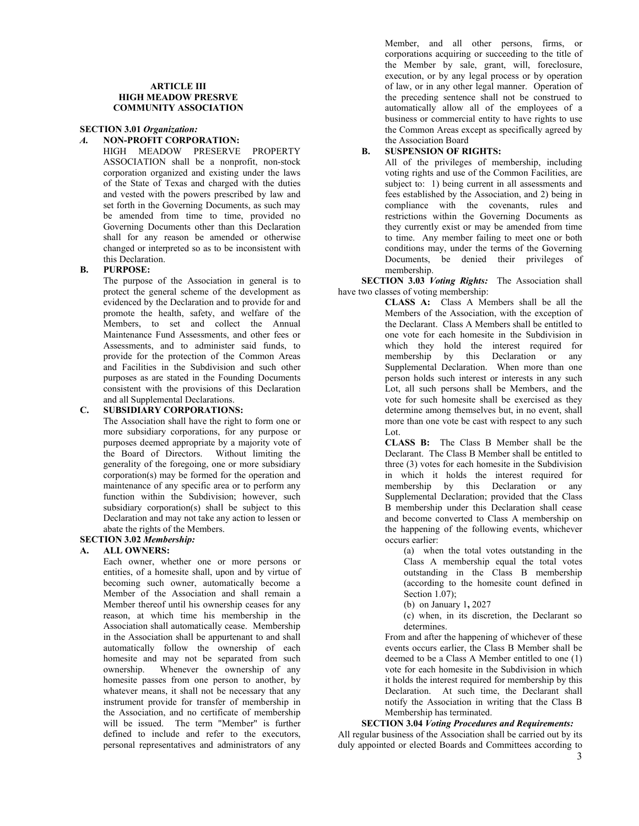#### **ARTICLE III HIGH MEADOW PRESRVE COMMUNITY ASSOCIATION**

#### **SECTION 3.01** *Organization:*

### *A.* **NON-PROFIT CORPORATION:**

HIGH MEADOW PRESERVE PROPERTY ASSOCIATION shall be a nonprofit, non-stock corporation organized and existing under the laws of the State of Texas and charged with the duties and vested with the powers prescribed by law and set forth in the Governing Documents, as such may be amended from time to time, provided no Governing Documents other than this Declaration shall for any reason be amended or otherwise changed or interpreted so as to be inconsistent with this Declaration.

### **B. PURPOSE:**

The purpose of the Association in general is to protect the general scheme of the development as evidenced by the Declaration and to provide for and promote the health, safety, and welfare of the Members, to set and collect the Annual Maintenance Fund Assessments, and other fees or Assessments, and to administer said funds, to provide for the protection of the Common Areas and Facilities in the Subdivision and such other purposes as are stated in the Founding Documents consistent with the provisions of this Declaration and all Supplemental Declarations.

#### **C. SUBSIDIARY CORPORATIONS:**

The Association shall have the right to form one or more subsidiary corporations, for any purpose or purposes deemed appropriate by a majority vote of the Board of Directors. Without limiting the generality of the foregoing, one or more subsidiary corporation(s) may be formed for the operation and maintenance of any specific area or to perform any function within the Subdivision; however, such subsidiary corporation(s) shall be subject to this Declaration and may not take any action to lessen or abate the rights of the Members.

### **SECTION 3.02** *Membership:*

### **A. ALL OWNERS:**

Each owner, whether one or more persons or entities, of a homesite shall, upon and by virtue of becoming such owner, automatically become a Member of the Association and shall remain a Member thereof until his ownership ceases for any reason, at which time his membership in the Association shall automatically cease. Membership in the Association shall be appurtenant to and shall automatically follow the ownership of each homesite and may not be separated from such ownership. Whenever the ownership of any homesite passes from one person to another, by whatever means, it shall not be necessary that any instrument provide for transfer of membership in the Association, and no certificate of membership will be issued. The term "Member" is further defined to include and refer to the executors, personal representatives and administrators of any

Member, and all other persons, firms, or corporations acquiring or succeeding to the title of the Member by sale, grant, will, foreclosure, execution, or by any legal process or by operation of law, or in any other legal manner. Operation of the preceding sentence shall not be construed to automatically allow all of the employees of a business or commercial entity to have rights to use the Common Areas except as specifically agreed by the Association Board

### **B. SUSPENSION OF RIGHTS:**

All of the privileges of membership, including voting rights and use of the Common Facilities, are subject to: 1) being current in all assessments and fees established by the Association, and 2) being in compliance with the covenants, rules and restrictions within the Governing Documents as they currently exist or may be amended from time to time. Any member failing to meet one or both conditions may, under the terms of the Governing Documents, be denied their privileges of membership.

**SECTION 3.03** *Voting Rights:* The Association shall have two classes of voting membership:

> **CLASS A:** Class A Members shall be all the Members of the Association, with the exception of the Declarant. Class A Members shall be entitled to one vote for each homesite in the Subdivision in which they hold the interest required for membership by this Declaration or any Supplemental Declaration. When more than one person holds such interest or interests in any such Lot, all such persons shall be Members, and the vote for such homesite shall be exercised as they determine among themselves but, in no event, shall more than one vote be cast with respect to any such Lot.

> **CLASS B:** The Class B Member shall be the Declarant. The Class B Member shall be entitled to three (3) votes for each homesite in the Subdivision in which it holds the interest required for membership by this Declaration or any Supplemental Declaration; provided that the Class B membership under this Declaration shall cease and become converted to Class A membership on the happening of the following events, whichever occurs earlier:

(a) when the total votes outstanding in the Class A membership equal the total votes outstanding in the Class B membership (according to the homesite count defined in Section 1.07);

(b) on January 1**,** 2027

(c) when, in its discretion, the Declarant so determines.

From and after the happening of whichever of these events occurs earlier, the Class B Member shall be deemed to be a Class A Member entitled to one (1) vote for each homesite in the Subdivision in which it holds the interest required for membership by this Declaration. At such time, the Declarant shall notify the Association in writing that the Class B Membership has terminated.

### **SECTION 3.04** *Voting Procedures and Requirements:*

All regular business of the Association shall be carried out by its duly appointed or elected Boards and Committees according to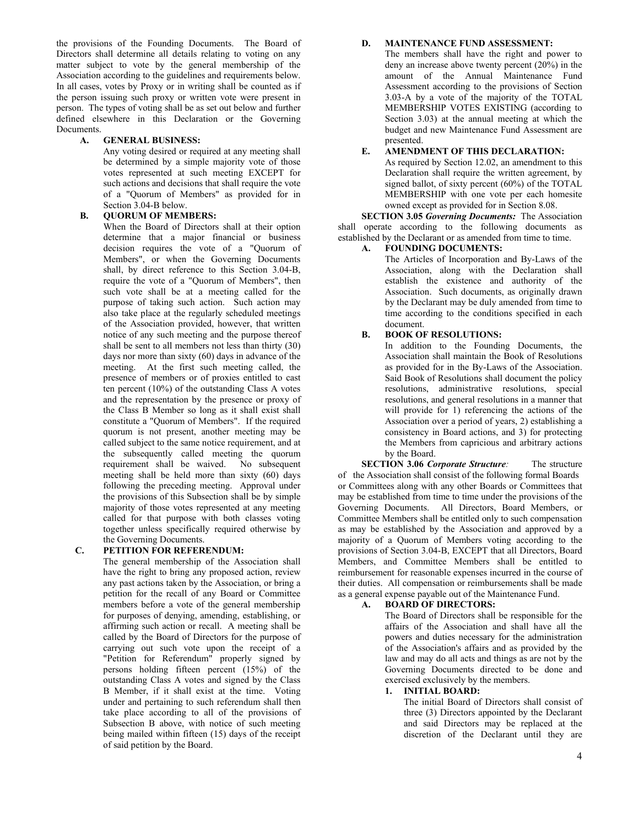the provisions of the Founding Documents. The Board of Directors shall determine all details relating to voting on any matter subject to vote by the general membership of the Association according to the guidelines and requirements below. In all cases, votes by Proxy or in writing shall be counted as if the person issuing such proxy or written vote were present in person. The types of voting shall be as set out below and further defined elsewhere in this Declaration or the Governing Documents.

#### **A. GENERAL BUSINESS:**

Any voting desired or required at any meeting shall be determined by a simple majority vote of those votes represented at such meeting EXCEPT for such actions and decisions that shall require the vote of a "Quorum of Members" as provided for in Section 3.04-B below.

#### **B. QUORUM OF MEMBERS:**

When the Board of Directors shall at their option determine that a major financial or business decision requires the vote of a "Quorum of Members", or when the Governing Documents shall, by direct reference to this Section 3.04-B, require the vote of a "Quorum of Members", then such vote shall be at a meeting called for the purpose of taking such action. Such action may also take place at the regularly scheduled meetings of the Association provided, however, that written notice of any such meeting and the purpose thereof shall be sent to all members not less than thirty (30) days nor more than sixty (60) days in advance of the meeting. At the first such meeting called, the presence of members or of proxies entitled to cast ten percent (10%) of the outstanding Class A votes and the representation by the presence or proxy of the Class B Member so long as it shall exist shall constitute a "Quorum of Members". If the required quorum is not present, another meeting may be called subject to the same notice requirement, and at the subsequently called meeting the quorum requirement shall be waived. No subsequent meeting shall be held more than sixty (60) days following the preceding meeting. Approval under the provisions of this Subsection shall be by simple majority of those votes represented at any meeting called for that purpose with both classes voting together unless specifically required otherwise by the Governing Documents.

#### **C. PETITION FOR REFERENDUM:**

The general membership of the Association shall have the right to bring any proposed action, review any past actions taken by the Association, or bring a petition for the recall of any Board or Committee members before a vote of the general membership for purposes of denying, amending, establishing, or affirming such action or recall. A meeting shall be called by the Board of Directors for the purpose of carrying out such vote upon the receipt of a "Petition for Referendum" properly signed by persons holding fifteen percent (15%) of the outstanding Class A votes and signed by the Class B Member, if it shall exist at the time. Voting under and pertaining to such referendum shall then take place according to all of the provisions of Subsection B above, with notice of such meeting being mailed within fifteen (15) days of the receipt of said petition by the Board.

#### **D. MAINTENANCE FUND ASSESSMENT:**

The members shall have the right and power to deny an increase above twenty percent (20%) in the amount of the Annual Maintenance Fund Assessment according to the provisions of Section 3.03-A by a vote of the majority of the TOTAL MEMBERSHIP VOTES EXISTING (according to Section 3.03) at the annual meeting at which the budget and new Maintenance Fund Assessment are presented.

#### **E. AMENDMENT OF THIS DECLARATION:**

As required by Section 12.02, an amendment to this Declaration shall require the written agreement, by signed ballot, of sixty percent (60%) of the TOTAL MEMBERSHIP with one vote per each homesite owned except as provided for in Section 8.08.

**SECTION 3.05** *Governing Documents:* The Association shall operate according to the following documents as established by the Declarant or as amended from time to time.

#### **A. FOUNDING DOCUMENTS:**

The Articles of Incorporation and By-Laws of the Association, along with the Declaration shall establish the existence and authority of the Association. Such documents, as originally drawn by the Declarant may be duly amended from time to time according to the conditions specified in each document.

### **B. BOOK OF RESOLUTIONS:**

In addition to the Founding Documents, the Association shall maintain the Book of Resolutions as provided for in the By-Laws of the Association. Said Book of Resolutions shall document the policy resolutions, administrative resolutions, special resolutions, and general resolutions in a manner that will provide for 1) referencing the actions of the Association over a period of years, 2) establishing a consistency in Board actions, and 3) for protecting the Members from capricious and arbitrary actions by the Board.

**SECTION 3.06** *Corporate Structure:* The structure of the Association shall consist of the following formal Boards or Committees along with any other Boards or Committees that may be established from time to time under the provisions of the Governing Documents. All Directors, Board Members, or Committee Members shall be entitled only to such compensation as may be established by the Association and approved by a majority of a Quorum of Members voting according to the provisions of Section 3.04-B, EXCEPT that all Directors, Board Members, and Committee Members shall be entitled to reimbursement for reasonable expenses incurred in the course of their duties. All compensation or reimbursements shall be made as a general expense payable out of the Maintenance Fund.

#### **A. BOARD OF DIRECTORS:**

The Board of Directors shall be responsible for the affairs of the Association and shall have all the powers and duties necessary for the administration of the Association's affairs and as provided by the law and may do all acts and things as are not by the Governing Documents directed to be done and exercised exclusively by the members.

#### **1. INITIAL BOARD:**

The initial Board of Directors shall consist of three (3) Directors appointed by the Declarant and said Directors may be replaced at the discretion of the Declarant until they are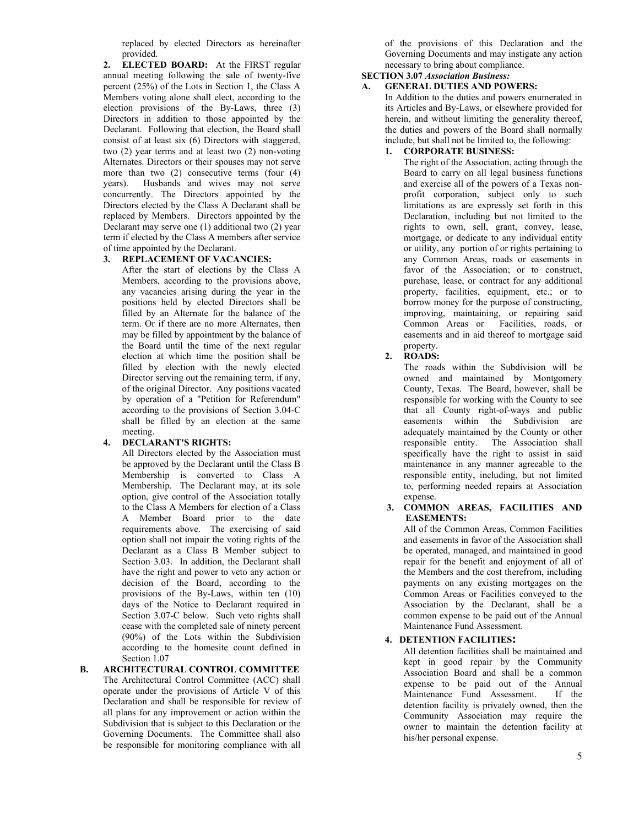replaced by elected Directors as hereinafter provided.

**2. ELECTED BOARD:** At the FIRST regular annual meeting following the sale of twenty-five percent (25%) of the Lots in Section 1, the Class A Members voting alone shall elect, according to the election provisions of the By-Laws, three (3) Directors in addition to those appointed by the Declarant. Following that election, the Board shall consist of at least six (6) Directors with staggered, two (2) year terms and at least two (2) non-voting Alternates. Directors or their spouses may not serve more than two (2) consecutive terms (four (4) years). Husbands and wives may not serve concurrently. The Directors appointed by the Directors elected by the Class A Declarant shall be replaced by Members. Directors appointed by the Declarant may serve one (1) additional two (2) year term if elected by the Class A members after service of time appointed by the Declarant.

### **3. REPLACEMENT OF VACANCIES:**

After the start of elections by the Class A Members, according to the provisions above, any vacancies arising during the year in the positions held by elected Directors shall be filled by an Alternate for the balance of the term. Or if there are no more Alternates, then may be filled by appointment by the balance of the Board until the time of the next regular election at which time the position shall be filled by election with the newly elected Director serving out the remaining term, if any, of the original Director. Any positions vacated by operation of a "Petition for Referendum" according to the provisions of Section 3.04-C shall be filled by an election at the same meeting.

### **4. DECLARANT'S RIGHTS:**

All Directors elected by the Association must be approved by the Declarant until the Class B Membership is converted to Class A Membership. The Declarant may, at its sole option, give control of the Association totally to the Class A Members for election of a Class A Member Board prior to the date requirements above. The exercising of said option shall not impair the voting rights of the Declarant as a Class B Member subject to Section 3.03. In addition, the Declarant shall have the right and power to veto any action or decision of the Board, according to the provisions of the By-Laws, within ten (10) days of the Notice to Declarant required in Section 3.07-C below. Such veto rights shall cease with the completed sale of ninety percent (90%) of the Lots within the Subdivision according to the homesite count defined in Section 1.07

**B. ARCHITECTURAL CONTROL COMMITTEE** The Architectural Control Committee (ACC) shall operate under the provisions of Article V of this Declaration and shall be responsible for review of all plans for any improvement or action within the Subdivision that is subject to this Declaration or the Governing Documents. The Committee shall also be responsible for monitoring compliance with all

of the provisions of this Declaration and the Governing Documents and may instigate any action necessary to bring about compliance.

## **SECTION 3.07** *Association Business:*

## **A. GENERAL DUTIES AND POWERS:**

In Addition to the duties and powers enumerated in its Articles and By-Laws, or elsewhere provided for herein, and without limiting the generality thereof, the duties and powers of the Board shall normally include, but shall not be limited to, the following:

### **1. CORPORATE BUSINESS:**

The right of the Association, acting through the Board to carry on all legal business functions and exercise all of the powers of a Texas nonprofit corporation, subject only to such limitations as are expressly set forth in this Declaration, including but not limited to the rights to own, sell, grant, convey, lease, mortgage, or dedicate to any individual entity or utility, any portion of or rights pertaining to any Common Areas, roads or easements in favor of the Association; or to construct, purchase, lease, or contract for any additional property, facilities, equipment, etc.; or to borrow money for the purpose of constructing, improving, maintaining, or repairing said Common Areas or Facilities, roads, or easements and in aid thereof to mortgage said property.

### **2. ROADS:**

The roads within the Subdivision will be owned and maintained by Montgomery County, Texas. The Board, however, shall be responsible for working with the County to see that all County right-of-ways and public easements within the Subdivision are adequately maintained by the County or other responsible entity. The Association shall specifically have the right to assist in said maintenance in any manner agreeable to the responsible entity, including, but not limited to, performing needed repairs at Association expense.

### **3. COMMON AREAS, FACILITIES AND EASEMENTS:**

All of the Common Areas, Common Facilities and easements in favor of the Association shall be operated, managed, and maintained in good repair for the benefit and enjoyment of all of the Members and the cost therefrom, including payments on any existing mortgages on the Common Areas or Facilities conveyed to the Association by the Declarant, shall be a common expense to be paid out of the Annual Maintenance Fund Assessment.

### **4. DETENTION FACILITIES:**

All detention facilities shall be maintained and kept in good repair by the Community Association Board and shall be a common expense to be paid out of the Annual Maintenance Fund Assessment. If the detention facility is privately owned, then the Community Association may require the owner to maintain the detention facility at his/her personal expense.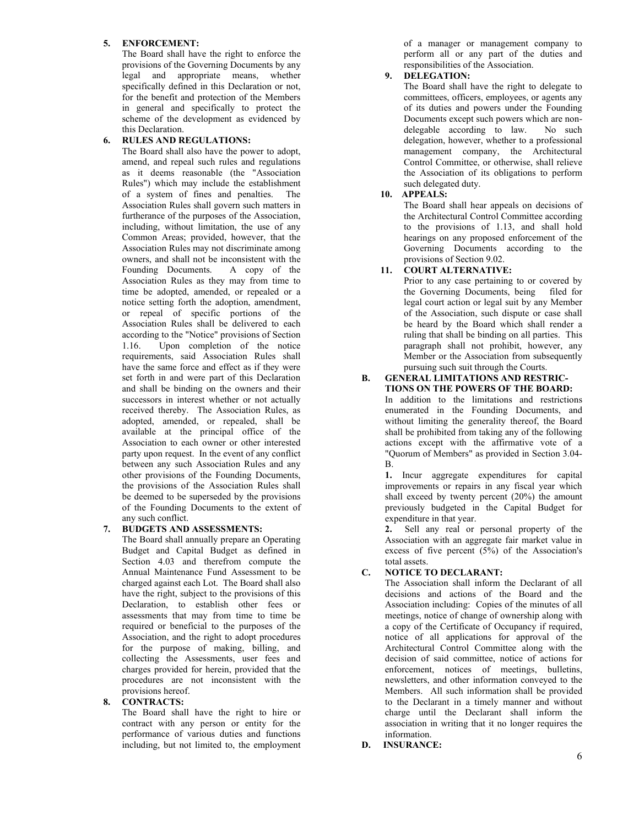### **5. ENFORCEMENT:**

The Board shall have the right to enforce the provisions of the Governing Documents by any legal and appropriate means, whether specifically defined in this Declaration or not, for the benefit and protection of the Members in general and specifically to protect the scheme of the development as evidenced by this Declaration.

## **6. RULES AND REGULATIONS:**

The Board shall also have the power to adopt, amend, and repeal such rules and regulations as it deems reasonable (the "Association Rules") which may include the establishment of a system of fines and penalties. The Association Rules shall govern such matters in furtherance of the purposes of the Association, including, without limitation, the use of any Common Areas; provided, however, that the Association Rules may not discriminate among owners, and shall not be inconsistent with the<br>Founding Documents. A copy of the Founding Documents. Association Rules as they may from time to time be adopted, amended, or repealed or a notice setting forth the adoption, amendment, or repeal of specific portions of the Association Rules shall be delivered to each according to the "Notice" provisions of Section 1.16. Upon completion of the notice requirements, said Association Rules shall have the same force and effect as if they were set forth in and were part of this Declaration and shall be binding on the owners and their successors in interest whether or not actually received thereby. The Association Rules, as adopted, amended, or repealed, shall be available at the principal office of the Association to each owner or other interested party upon request. In the event of any conflict between any such Association Rules and any other provisions of the Founding Documents, the provisions of the Association Rules shall be deemed to be superseded by the provisions of the Founding Documents to the extent of any such conflict.

### **7. BUDGETS AND ASSESSMENTS:**

The Board shall annually prepare an Operating Budget and Capital Budget as defined in Section 4.03 and therefrom compute the Annual Maintenance Fund Assessment to be charged against each Lot. The Board shall also have the right, subject to the provisions of this Declaration, to establish other fees or assessments that may from time to time be required or beneficial to the purposes of the Association, and the right to adopt procedures for the purpose of making, billing, and collecting the Assessments, user fees and charges provided for herein, provided that the procedures are not inconsistent with the provisions hereof.

### **8. CONTRACTS:**

The Board shall have the right to hire or contract with any person or entity for the performance of various duties and functions including, but not limited to, the employment of a manager or management company to perform all or any part of the duties and responsibilities of the Association.

## **9. DELEGATION:**

The Board shall have the right to delegate to committees, officers, employees, or agents any of its duties and powers under the Founding Documents except such powers which are nondelegable according to law. No such delegation, however, whether to a professional management company, the Architectural Control Committee, or otherwise, shall relieve the Association of its obligations to perform such delegated duty.

### **10. APPEALS:**

The Board shall hear appeals on decisions of the Architectural Control Committee according to the provisions of 1.13, and shall hold hearings on any proposed enforcement of the Governing Documents according to the provisions of Section 9.02.

## **11. COURT ALTERNATIVE:**

Prior to any case pertaining to or covered by the Governing Documents, being filed for legal court action or legal suit by any Member of the Association, such dispute or case shall be heard by the Board which shall render a ruling that shall be binding on all parties. This paragraph shall not prohibit, however, any Member or the Association from subsequently pursuing such suit through the Courts.

#### **B. GENERAL LIMITATIONS AND RESTRIC-TIONS ON THE POWERS OF THE BOARD:**

In addition to the limitations and restrictions enumerated in the Founding Documents, and without limiting the generality thereof, the Board shall be prohibited from taking any of the following actions except with the affirmative vote of a "Quorum of Members" as provided in Section 3.04- B.

**1.** Incur aggregate expenditures for capital improvements or repairs in any fiscal year which shall exceed by twenty percent (20%) the amount previously budgeted in the Capital Budget for expenditure in that year.

**2.** Sell any real or personal property of the Association with an aggregate fair market value in excess of five percent  $(5\%)$  of the Association's total assets.

## **C. NOTICE TO DECLARANT:**

The Association shall inform the Declarant of all decisions and actions of the Board and the Association including: Copies of the minutes of all meetings, notice of change of ownership along with a copy of the Certificate of Occupancy if required, notice of all applications for approval of the Architectural Control Committee along with the decision of said committee, notice of actions for enforcement, notices of meetings, bulletins, newsletters, and other information conveyed to the Members. All such information shall be provided to the Declarant in a timely manner and without charge until the Declarant shall inform the association in writing that it no longer requires the information.

**D. INSURANCE:**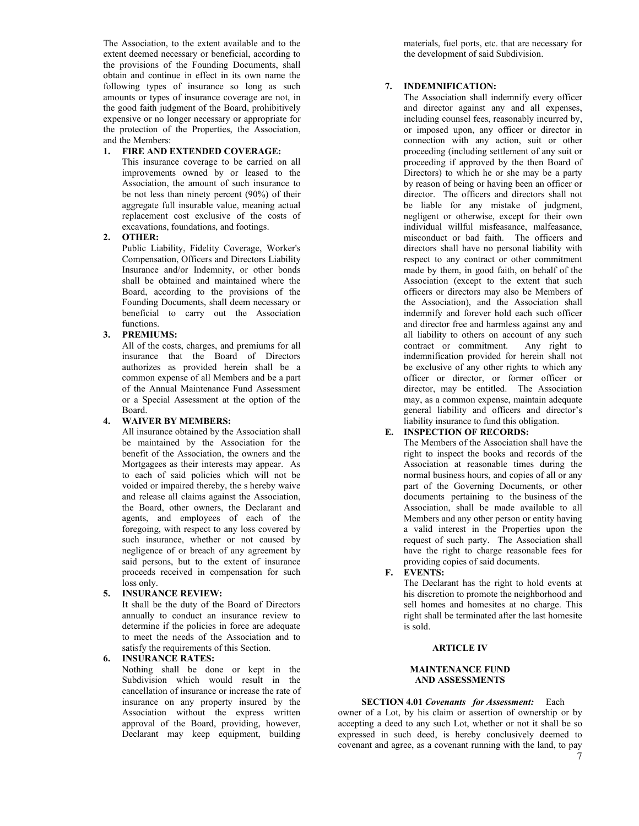The Association, to the extent available and to the extent deemed necessary or beneficial, according to the provisions of the Founding Documents, shall obtain and continue in effect in its own name the following types of insurance so long as such amounts or types of insurance coverage are not, in the good faith judgment of the Board, prohibitively expensive or no longer necessary or appropriate for the protection of the Properties, the Association, and the Members:

### **1. FIRE AND EXTENDED COVERAGE:**

This insurance coverage to be carried on all improvements owned by or leased to the Association, the amount of such insurance to be not less than ninety percent (90%) of their aggregate full insurable value, meaning actual replacement cost exclusive of the costs of excavations, foundations, and footings.

### **2. OTHER:**

Public Liability, Fidelity Coverage, Worker's Compensation, Officers and Directors Liability Insurance and/or Indemnity, or other bonds shall be obtained and maintained where the Board, according to the provisions of the Founding Documents, shall deem necessary or beneficial to carry out the Association functions.

### **3. PREMIUMS:**

All of the costs, charges, and premiums for all insurance that the Board of Directors authorizes as provided herein shall be a common expense of all Members and be a part of the Annual Maintenance Fund Assessment or a Special Assessment at the option of the Board.

### **4. WAIVER BY MEMBERS:**

All insurance obtained by the Association shall be maintained by the Association for the benefit of the Association, the owners and the Mortgagees as their interests may appear. As to each of said policies which will not be voided or impaired thereby, the s hereby waive and release all claims against the Association, the Board, other owners, the Declarant and agents, and employees of each of the foregoing, with respect to any loss covered by such insurance, whether or not caused by negligence of or breach of any agreement by said persons, but to the extent of insurance proceeds received in compensation for such loss only.

### **5. INSURANCE REVIEW:**

It shall be the duty of the Board of Directors annually to conduct an insurance review to determine if the policies in force are adequate to meet the needs of the Association and to satisfy the requirements of this Section.

### **6. INSURANCE RATES:**

Nothing shall be done or kept in the Subdivision which would result in the cancellation of insurance or increase the rate of insurance on any property insured by the Association without the express written approval of the Board, providing, however, Declarant may keep equipment, building

materials, fuel ports, etc. that are necessary for the development of said Subdivision.

### **7. INDEMNIFICATION:**

The Association shall indemnify every officer and director against any and all expenses, including counsel fees, reasonably incurred by, or imposed upon, any officer or director in connection with any action, suit or other proceeding (including settlement of any suit or proceeding if approved by the then Board of Directors) to which he or she may be a party by reason of being or having been an officer or director. The officers and directors shall not be liable for any mistake of judgment, negligent or otherwise, except for their own individual willful misfeasance, malfeasance, misconduct or bad faith. The officers and directors shall have no personal liability with respect to any contract or other commitment made by them, in good faith, on behalf of the Association (except to the extent that such officers or directors may also be Members of the Association), and the Association shall indemnify and forever hold each such officer and director free and harmless against any and all liability to others on account of any such contract or commitment. Any right to indemnification provided for herein shall not be exclusive of any other rights to which any officer or director, or former officer or director, may be entitled. The Association may, as a common expense, maintain adequate general liability and officers and director's liability insurance to fund this obligation.

## **E. INSPECTION OF RECORDS:**

The Members of the Association shall have the right to inspect the books and records of the Association at reasonable times during the normal business hours, and copies of all or any part of the Governing Documents, or other documents pertaining to the business of the Association, shall be made available to all Members and any other person or entity having a valid interest in the Properties upon the request of such party. The Association shall have the right to charge reasonable fees for providing copies of said documents.

**F. EVENTS:**

The Declarant has the right to hold events at his discretion to promote the neighborhood and sell homes and homesites at no charge. This right shall be terminated after the last homesite is sold.

#### **ARTICLE IV**

### **MAINTENANCE FUND AND ASSESSMENTS**

## **SECTION 4.01** *Covenants for Assessment:* Each

7 owner of a Lot, by his claim or assertion of ownership or by accepting a deed to any such Lot, whether or not it shall be so expressed in such deed, is hereby conclusively deemed to covenant and agree, as a covenant running with the land, to pay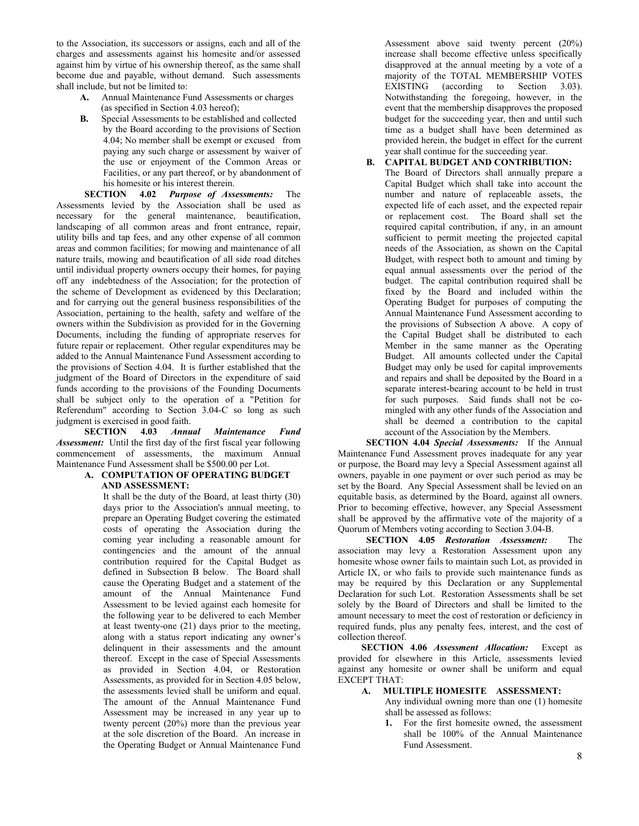to the Association, its successors or assigns, each and all of the charges and assessments against his homesite and/or assessed against him by virtue of his ownership thereof, as the same shall become due and payable, without demand. Such assessments shall include, but not be limited to:

- **A.** Annual Maintenance Fund Assessments or charges (as specified in Section 4.03 hereof);
- **B.** Special Assessments to be established and collected by the Board according to the provisions of Section 4.04; No member shall be exempt or excused from paying any such charge or assessment by waiver of the use or enjoyment of the Common Areas or Facilities, or any part thereof, or by abandonment of his homesite or his interest therein.

**SECTION 4.02** *Purpose of Assessments:* The Assessments levied by the Association shall be used as necessary for the general maintenance, beautification, landscaping of all common areas and front entrance, repair, utility bills and tap fees, and any other expense of all common areas and common facilities; for mowing and maintenance of all nature trails, mowing and beautification of all side road ditches until individual property owners occupy their homes, for paying off any indebtedness of the Association; for the protection of the scheme of Development as evidenced by this Declaration; and for carrying out the general business responsibilities of the Association, pertaining to the health, safety and welfare of the owners within the Subdivision as provided for in the Governing Documents, including the funding of appropriate reserves for future repair or replacement. Other regular expenditures may be added to the Annual Maintenance Fund Assessment according to the provisions of Section 4.04. It is further established that the judgment of the Board of Directors in the expenditure of said funds according to the provisions of the Founding Documents shall be subject only to the operation of a "Petition for Referendum" according to Section 3.04-C so long as such judgment is exercised in good faith.

**SECTION 4.03** *Annual Maintenance Fund Assessment:* Until the first day of the first fiscal year following commencement of assessments, the maximum Annual Maintenance Fund Assessment shall be \$500.00 per Lot.

#### **A. COMPUTATION OF OPERATING BUDGET AND ASSESSMENT:**

It shall be the duty of the Board, at least thirty (30) days prior to the Association's annual meeting, to prepare an Operating Budget covering the estimated costs of operating the Association during the coming year including a reasonable amount for contingencies and the amount of the annual contribution required for the Capital Budget as defined in Subsection B below. The Board shall cause the Operating Budget and a statement of the amount of the Annual Maintenance Fund Assessment to be levied against each homesite for the following year to be delivered to each Member at least twenty-one (21) days prior to the meeting, along with a status report indicating any owner's delinquent in their assessments and the amount thereof. Except in the case of Special Assessments as provided in Section 4.04, or Restoration Assessments, as provided for in Section 4.05 below, the assessments levied shall be uniform and equal. The amount of the Annual Maintenance Fund Assessment may be increased in any year up to twenty percent (20%) more than the previous year at the sole discretion of the Board. An increase in the Operating Budget or Annual Maintenance Fund

Assessment above said twenty percent (20%) increase shall become effective unless specifically disapproved at the annual meeting by a vote of a majority of the TOTAL MEMBERSHIP VOTES EXISTING (according to Section 3.03). Notwithstanding the foregoing, however, in the event that the membership disapproves the proposed budget for the succeeding year, then and until such time as a budget shall have been determined as provided herein, the budget in effect for the current year shall continue for the succeeding year.

### **B. CAPITAL BUDGET AND CONTRIBUTION:**

The Board of Directors shall annually prepare a Capital Budget which shall take into account the number and nature of replaceable assets, the expected life of each asset, and the expected repair or replacement cost. The Board shall set the required capital contribution, if any, in an amount sufficient to permit meeting the projected capital needs of the Association, as shown on the Capital Budget, with respect both to amount and timing by equal annual assessments over the period of the budget. The capital contribution required shall be fixed by the Board and included within the Operating Budget for purposes of computing the Annual Maintenance Fund Assessment according to the provisions of Subsection A above. A copy of the Capital Budget shall be distributed to each Member in the same manner as the Operating Budget. All amounts collected under the Capital Budget may only be used for capital improvements and repairs and shall be deposited by the Board in a separate interest-bearing account to be held in trust for such purposes. Said funds shall not be comingled with any other funds of the Association and shall be deemed a contribution to the capital account of the Association by the Members.

**SECTION 4.04** *Special Assessments:* If the Annual Maintenance Fund Assessment proves inadequate for any year or purpose, the Board may levy a Special Assessment against all owners, payable in one payment or over such period as may be set by the Board. Any Special Assessment shall be levied on an equitable basis, as determined by the Board, against all owners. Prior to becoming effective, however, any Special Assessment shall be approved by the affirmative vote of the majority of a Quorum of Members voting according to Section 3.04-B.

**SECTION 4.05** *Restoration Assessment:* The association may levy a Restoration Assessment upon any homesite whose owner fails to maintain such Lot, as provided in Article IX, or who fails to provide such maintenance funds as may be required by this Declaration or any Supplemental Declaration for such Lot. Restoration Assessments shall be set solely by the Board of Directors and shall be limited to the amount necessary to meet the cost of restoration or deficiency in required funds, plus any penalty fees, interest, and the cost of collection thereof.

**SECTION 4.06** *Assessment Allocation:* Except as provided for elsewhere in this Article, assessments levied against any homesite or owner shall be uniform and equal EXCEPT THAT:

### **A. MULTIPLE HOMESITE ASSESSMENT:**

Any individual owning more than one (1) homesite shall be assessed as follows:

**1.** For the first homesite owned, the assessment shall be 100% of the Annual Maintenance Fund Assessment.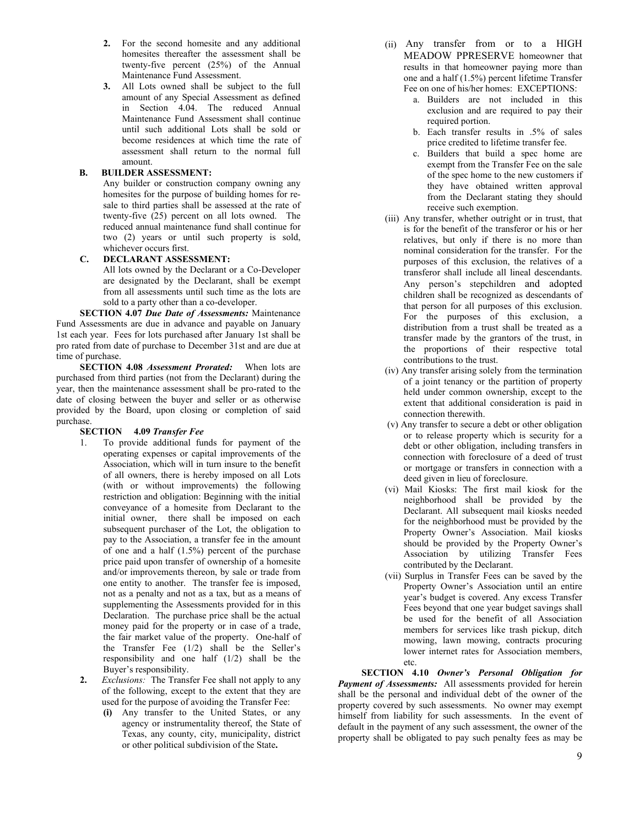- **2.** For the second homesite and any additional homesites thereafter the assessment shall be twenty-five percent (25%) of the Annual Maintenance Fund Assessment.
- **3.** All Lots owned shall be subject to the full amount of any Special Assessment as defined in Section 4.04. The reduced Annual Maintenance Fund Assessment shall continue until such additional Lots shall be sold or become residences at which time the rate of assessment shall return to the normal full amount.

### **B. BUILDER ASSESSMENT:**

Any builder or construction company owning any homesites for the purpose of building homes for resale to third parties shall be assessed at the rate of twenty-five (25) percent on all lots owned. The reduced annual maintenance fund shall continue for two (2) years or until such property is sold, whichever occurs first.

### **C. DECLARANT ASSESSMENT:**

All lots owned by the Declarant or a Co-Developer are designated by the Declarant, shall be exempt from all assessments until such time as the lots are sold to a party other than a co-developer.

**SECTION 4.07** *Due Date of Assessments:* Maintenance Fund Assessments are due in advance and payable on January 1st each year. Fees for lots purchased after January 1st shall be pro rated from date of purchase to December 31st and are due at time of purchase.

**SECTION 4.08** *Assessment Prorated:* When lots are purchased from third parties (not from the Declarant) during the year, then the maintenance assessment shall be pro-rated to the date of closing between the buyer and seller or as otherwise provided by the Board, upon closing or completion of said purchase.

### **SECTION 4.09** *Transfer Fee*

- 1. To provide additional funds for payment of the operating expenses or capital improvements of the Association, which will in turn insure to the benefit of all owners, there is hereby imposed on all Lots (with or without improvements) the following restriction and obligation: Beginning with the initial conveyance of a homesite from Declarant to the initial owner, there shall be imposed on each subsequent purchaser of the Lot, the obligation to pay to the Association, a transfer fee in the amount of one and a half  $(1.5\%)$  percent of the purchase price paid upon transfer of ownership of a homesite and/or improvements thereon, by sale or trade from one entity to another. The transfer fee is imposed, not as a penalty and not as a tax, but as a means of supplementing the Assessments provided for in this Declaration. The purchase price shall be the actual money paid for the property or in case of a trade, the fair market value of the property. One-half of the Transfer Fee (1/2) shall be the Seller's responsibility and one half (1/2) shall be the Buyer's responsibility.
- **2.** *Exclusions:* The Transfer Fee shall not apply to any of the following, except to the extent that they are used for the purpose of avoiding the Transfer Fee:
	- **(i)** Any transfer to the United States, or any agency or instrumentality thereof, the State of Texas, any county, city, municipality, district or other political subdivision of the State**.**
- (ii) Any transfer from or to a HIGH MEADOW PPRESERVE homeowner that results in that homeowner paying more than one and a half (1.5%) percent lifetime Transfer Fee on one of his/her homes: EXCEPTIONS:
	- a. Builders are not included in this exclusion and are required to pay their required portion.
	- b. Each transfer results in .5% of sales price credited to lifetime transfer fee.
	- c. Builders that build a spec home are exempt from the Transfer Fee on the sale of the spec home to the new customers if they have obtained written approval from the Declarant stating they should receive such exemption.
- (iii) Any transfer, whether outright or in trust, that is for the benefit of the transferor or his or her relatives, but only if there is no more than nominal consideration for the transfer. For the purposes of this exclusion, the relatives of a transferor shall include all lineal descendants. Any person's stepchildren and adopted children shall be recognized as descendants of that person for all purposes of this exclusion. For the purposes of this exclusion, a distribution from a trust shall be treated as a transfer made by the grantors of the trust, in the proportions of their respective total contributions to the trust.
- (iv) Any transfer arising solely from the termination of a joint tenancy or the partition of property held under common ownership, except to the extent that additional consideration is paid in connection therewith.
- (v) Any transfer to secure a debt or other obligation or to release property which is security for a debt or other obligation, including transfers in connection with foreclosure of a deed of trust or mortgage or transfers in connection with a deed given in lieu of foreclosure.
- (vi) Mail Kiosks: The first mail kiosk for the neighborhood shall be provided by the Declarant. All subsequent mail kiosks needed for the neighborhood must be provided by the Property Owner's Association. Mail kiosks should be provided by the Property Owner's Association by utilizing Transfer Fees contributed by the Declarant.
- (vii) Surplus in Transfer Fees can be saved by the Property Owner's Association until an entire year's budget is covered. Any excess Transfer Fees beyond that one year budget savings shall be used for the benefit of all Association members for services like trash pickup, ditch mowing, lawn mowing, contracts procuring lower internet rates for Association members, etc.

**SECTION 4.10** *Owner's Personal Obligation for Payment of Assessments:* All assessments provided for herein shall be the personal and individual debt of the owner of the property covered by such assessments. No owner may exempt himself from liability for such assessments. In the event of default in the payment of any such assessment, the owner of the property shall be obligated to pay such penalty fees as may be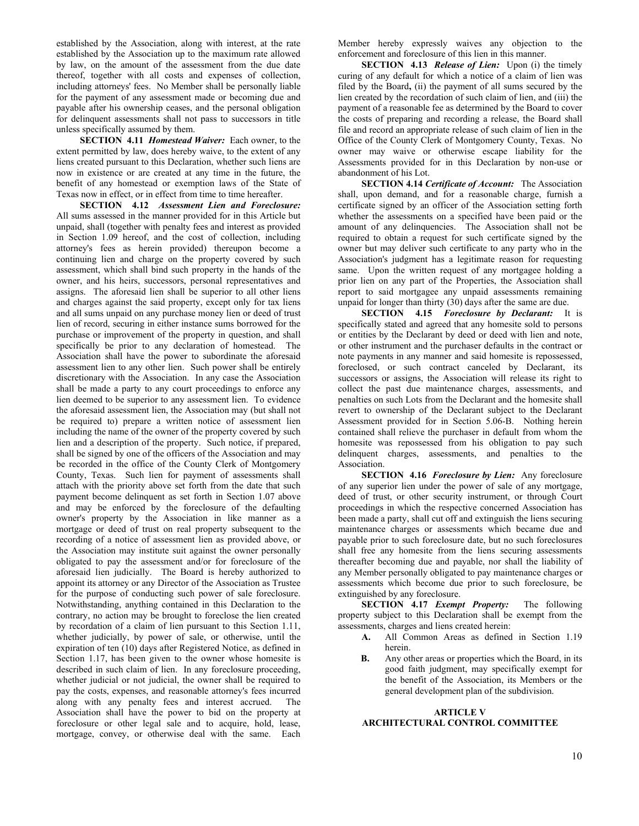established by the Association, along with interest, at the rate established by the Association up to the maximum rate allowed by law, on the amount of the assessment from the due date thereof, together with all costs and expenses of collection, including attorneys' fees. No Member shall be personally liable for the payment of any assessment made or becoming due and payable after his ownership ceases, and the personal obligation for delinquent assessments shall not pass to successors in title unless specifically assumed by them.

**SECTION 4.11** *Homestead Waiver:* Each owner, to the extent permitted by law, does hereby waive, to the extent of any liens created pursuant to this Declaration, whether such liens are now in existence or are created at any time in the future, the benefit of any homestead or exemption laws of the State of Texas now in effect, or in effect from time to time hereafter.

**SECTION 4.12** *Assessment Lien and Foreclosure:*  All sums assessed in the manner provided for in this Article but unpaid, shall (together with penalty fees and interest as provided in Section 1.09 hereof, and the cost of collection, including attorney's fees as herein provided) thereupon become a continuing lien and charge on the property covered by such assessment, which shall bind such property in the hands of the owner, and his heirs, successors, personal representatives and assigns. The aforesaid lien shall be superior to all other liens and charges against the said property, except only for tax liens and all sums unpaid on any purchase money lien or deed of trust lien of record, securing in either instance sums borrowed for the purchase or improvement of the property in question, and shall specifically be prior to any declaration of homestead. The Association shall have the power to subordinate the aforesaid assessment lien to any other lien. Such power shall be entirely discretionary with the Association. In any case the Association shall be made a party to any court proceedings to enforce any lien deemed to be superior to any assessment lien. To evidence the aforesaid assessment lien, the Association may (but shall not be required to) prepare a written notice of assessment lien including the name of the owner of the property covered by such lien and a description of the property. Such notice, if prepared, shall be signed by one of the officers of the Association and may be recorded in the office of the County Clerk of Montgomery County, Texas. Such lien for payment of assessments shall attach with the priority above set forth from the date that such payment become delinquent as set forth in Section 1.07 above and may be enforced by the foreclosure of the defaulting owner's property by the Association in like manner as a mortgage or deed of trust on real property subsequent to the recording of a notice of assessment lien as provided above, or the Association may institute suit against the owner personally obligated to pay the assessment and/or for foreclosure of the aforesaid lien judicially. The Board is hereby authorized to appoint its attorney or any Director of the Association as Trustee for the purpose of conducting such power of sale foreclosure. Notwithstanding, anything contained in this Declaration to the contrary, no action may be brought to foreclose the lien created by recordation of a claim of lien pursuant to this Section 1.11, whether judicially, by power of sale, or otherwise, until the expiration of ten (10) days after Registered Notice, as defined in Section 1.17, has been given to the owner whose homesite is described in such claim of lien. In any foreclosure proceeding, whether judicial or not judicial, the owner shall be required to pay the costs, expenses, and reasonable attorney's fees incurred along with any penalty fees and interest accrued. The Association shall have the power to bid on the property at foreclosure or other legal sale and to acquire, hold, lease, mortgage, convey, or otherwise deal with the same. Each

Member hereby expressly waives any objection to the enforcement and foreclosure of this lien in this manner.

**SECTION 4.13** *Release of Lien:* Upon (i) the timely curing of any default for which a notice of a claim of lien was filed by the Board**,** (ii) the payment of all sums secured by the lien created by the recordation of such claim of lien, and (iii) the payment of a reasonable fee as determined by the Board to cover the costs of preparing and recording a release, the Board shall file and record an appropriate release of such claim of lien in the Office of the County Clerk of Montgomery County, Texas. No owner may waive or otherwise escape liability for the Assessments provided for in this Declaration by non-use or abandonment of his Lot.

**SECTION 4.14** *Certificate of Account:* The Association shall, upon demand, and for a reasonable charge, furnish a certificate signed by an officer of the Association setting forth whether the assessments on a specified have been paid or the amount of any delinquencies. The Association shall not be required to obtain a request for such certificate signed by the owner but may deliver such certificate to any party who in the Association's judgment has a legitimate reason for requesting same. Upon the written request of any mortgagee holding a prior lien on any part of the Properties, the Association shall report to said mortgagee any unpaid assessments remaining unpaid for longer than thirty (30) days after the same are due.

**SECTION 4.15** *Foreclosure by Declarant:* It is specifically stated and agreed that any homesite sold to persons or entities by the Declarant by deed or deed with lien and note, or other instrument and the purchaser defaults in the contract or note payments in any manner and said homesite is repossessed, foreclosed, or such contract canceled by Declarant, its successors or assigns, the Association will release its right to collect the past due maintenance charges, assessments, and penalties on such Lots from the Declarant and the homesite shall revert to ownership of the Declarant subject to the Declarant Assessment provided for in Section 5.06-B. Nothing herein contained shall relieve the purchaser in default from whom the homesite was repossessed from his obligation to pay such delinquent charges, assessments, and penalties to the Association.

**SECTION 4.16** *Foreclosure by Lien:* Any foreclosure of any superior lien under the power of sale of any mortgage, deed of trust, or other security instrument, or through Court proceedings in which the respective concerned Association has been made a party, shall cut off and extinguish the liens securing maintenance charges or assessments which became due and payable prior to such foreclosure date, but no such foreclosures shall free any homesite from the liens securing assessments thereafter becoming due and payable, nor shall the liability of any Member personally obligated to pay maintenance charges or assessments which become due prior to such foreclosure, be extinguished by any foreclosure.

**SECTION 4.17** *Exempt Property:* The following property subject to this Declaration shall be exempt from the assessments, charges and liens created herein:

- **A.** All Common Areas as defined in Section 1.19 herein.
- **B.** Any other areas or properties which the Board, in its good faith judgment, may specifically exempt for the benefit of the Association, its Members or the general development plan of the subdivision.

### **ARTICLE V ARCHITECTURAL CONTROL COMMITTEE**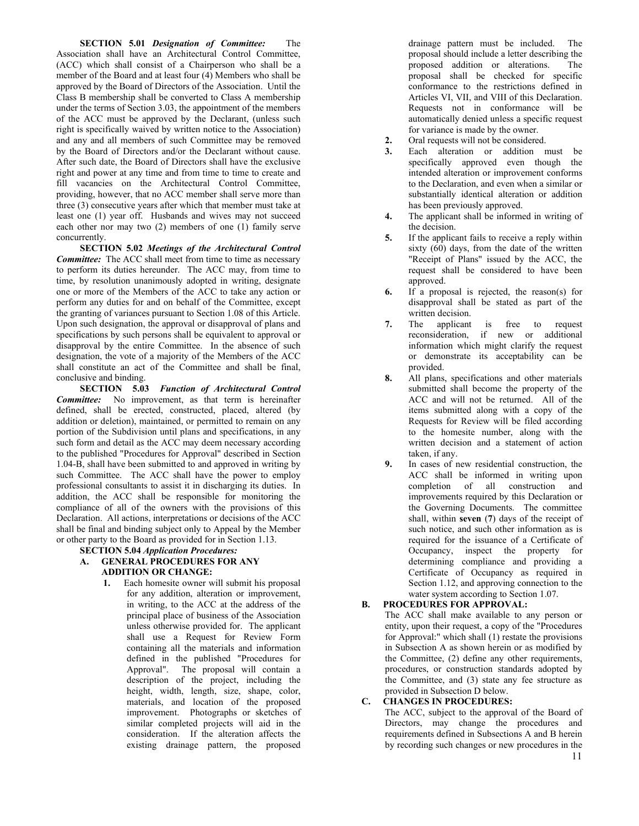**SECTION 5.01** *Designation of Committee:* The Association shall have an Architectural Control Committee, (ACC) which shall consist of a Chairperson who shall be a member of the Board and at least four (4) Members who shall be approved by the Board of Directors of the Association. Until the Class B membership shall be converted to Class A membership under the terms of Section 3.03, the appointment of the members of the ACC must be approved by the Declarant, (unless such right is specifically waived by written notice to the Association) and any and all members of such Committee may be removed by the Board of Directors and/or the Declarant without cause. After such date, the Board of Directors shall have the exclusive right and power at any time and from time to time to create and fill vacancies on the Architectural Control Committee, providing, however, that no ACC member shall serve more than three (3) consecutive years after which that member must take at least one (1) year off. Husbands and wives may not succeed each other nor may two (2) members of one (1) family serve concurrently.

**SECTION 5.02** *Meetings of the Architectural Control Committee:* The ACC shall meet from time to time as necessary to perform its duties hereunder. The ACC may, from time to time, by resolution unanimously adopted in writing, designate one or more of the Members of the ACC to take any action or perform any duties for and on behalf of the Committee, except the granting of variances pursuant to Section 1.08 of this Article. Upon such designation, the approval or disapproval of plans and specifications by such persons shall be equivalent to approval or disapproval by the entire Committee. In the absence of such designation, the vote of a majority of the Members of the ACC shall constitute an act of the Committee and shall be final, conclusive and binding.

**SECTION 5.03** *Function of Architectural Control Committee:* No improvement, as that term is hereinafter defined, shall be erected, constructed, placed, altered (by addition or deletion), maintained, or permitted to remain on any portion of the Subdivision until plans and specifications, in any such form and detail as the ACC may deem necessary according to the published "Procedures for Approval" described in Section 1.04-B, shall have been submitted to and approved in writing by such Committee. The ACC shall have the power to employ professional consultants to assist it in discharging its duties. In addition, the ACC shall be responsible for monitoring the compliance of all of the owners with the provisions of this Declaration. All actions, interpretations or decisions of the ACC shall be final and binding subject only to Appeal by the Member or other party to the Board as provided for in Section 1.13.

**SECTION 5.04** *Application Procedures:*

- **A. GENERAL PROCEDURES FOR ANY ADDITION OR CHANGE:**
	- **1.** Each homesite owner will submit his proposal for any addition, alteration or improvement, in writing, to the ACC at the address of the principal place of business of the Association unless otherwise provided for. The applicant shall use a Request for Review Form containing all the materials and information defined in the published "Procedures for Approval". The proposal will contain a description of the project, including the height, width, length, size, shape, color, materials, and location of the proposed improvement. Photographs or sketches of similar completed projects will aid in the consideration. If the alteration affects the existing drainage pattern, the proposed

drainage pattern must be included. The proposal should include a letter describing the proposed addition or alterations. The proposal shall be checked for specific conformance to the restrictions defined in Articles VI, VII, and VIII of this Declaration. Requests not in conformance will be automatically denied unless a specific request for variance is made by the owner.

- **2.** Oral requests will not be considered.
- **3.** Each alteration or addition must be specifically approved even though the intended alteration or improvement conforms to the Declaration, and even when a similar or substantially identical alteration or addition has been previously approved.
- **4.** The applicant shall be informed in writing of the decision.
- **5.** If the applicant fails to receive a reply within sixty (60) days, from the date of the written "Receipt of Plans" issued by the ACC, the request shall be considered to have been approved.
- **6.** If a proposal is rejected, the reason(s) for disapproval shall be stated as part of the written decision.
- **7.** The applicant is free to request reconsideration, if new or additional information which might clarify the request or demonstrate its acceptability can be provided.
- **8.** All plans, specifications and other materials submitted shall become the property of the ACC and will not be returned. All of the items submitted along with a copy of the Requests for Review will be filed according to the homesite number, along with the written decision and a statement of action taken, if any.
- **9.** In cases of new residential construction, the ACC shall be informed in writing upon completion of all construction and improvements required by this Declaration or the Governing Documents. The committee shall, within **seven** (**7**) days of the receipt of such notice, and such other information as is required for the issuance of a Certificate of Occupancy, inspect the property for determining compliance and providing a Certificate of Occupancy as required in Section 1.12, and approving connection to the water system according to Section 1.07.

### **B. PROCEDURES FOR APPROVAL:**

The ACC shall make available to any person or entity, upon their request, a copy of the "Procedures for Approval:" which shall (1) restate the provisions in Subsection A as shown herein or as modified by the Committee, (2) define any other requirements, procedures, or construction standards adopted by the Committee, and (3) state any fee structure as provided in Subsection D below.

#### **C. CHANGES IN PROCEDURES:**

The ACC, subject to the approval of the Board of Directors, may change the procedures and requirements defined in Subsections A and B herein by recording such changes or new procedures in the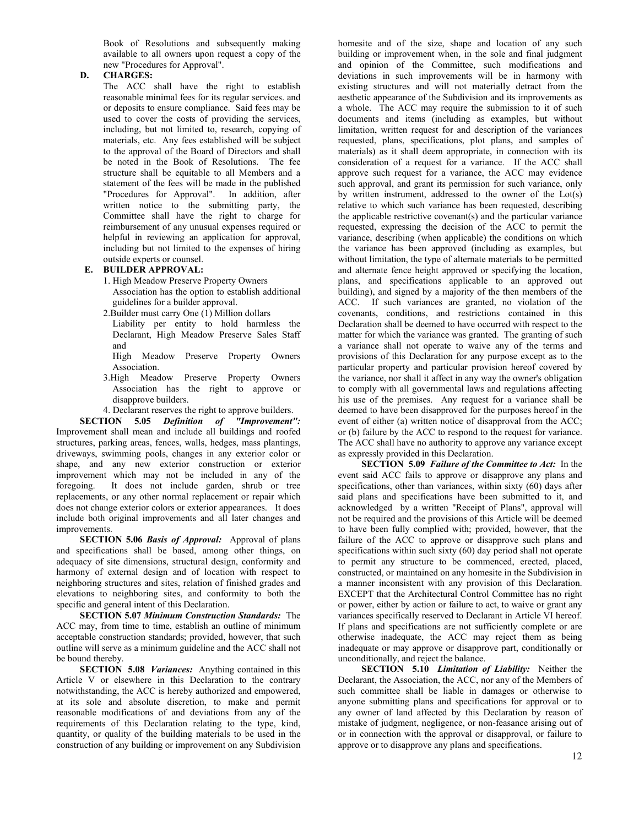Book of Resolutions and subsequently making available to all owners upon request a copy of the new "Procedures for Approval".

### **D. CHARGES:**

The ACC shall have the right to establish reasonable minimal fees for its regular services. and or deposits to ensure compliance. Said fees may be used to cover the costs of providing the services, including, but not limited to, research, copying of materials, etc. Any fees established will be subject to the approval of the Board of Directors and shall be noted in the Book of Resolutions. The fee structure shall be equitable to all Members and a statement of the fees will be made in the published "Procedures for Approval". In addition, after written notice to the submitting party, the Committee shall have the right to charge for reimbursement of any unusual expenses required or helpful in reviewing an application for approval, including but not limited to the expenses of hiring outside experts or counsel.

### **E. BUILDER APPROVAL:**

- 1. High Meadow Preserve Property Owners Association has the option to establish additional guidelines for a builder approval.
- 2.Builder must carry One (1) Million dollars

Liability per entity to hold harmless the Declarant, High Meadow Preserve Sales Staff and

- High Meadow Preserve Property Owners Association.
- 3.High Meadow Preserve Property Owners Association has the right to approve or disapprove builders.
- 4. Declarant reserves the right to approve builders.

**SECTION 5.05** *Definition of "Improvement":*  Improvement shall mean and include all buildings and roofed structures, parking areas, fences, walls, hedges, mass plantings, driveways, swimming pools, changes in any exterior color or shape, and any new exterior construction or exterior improvement which may not be included in any of the foregoing. It does not include garden, shrub or tree replacements, or any other normal replacement or repair which does not change exterior colors or exterior appearances. It does include both original improvements and all later changes and improvements.

**SECTION 5.06** *Basis of Approval:* Approval of plans and specifications shall be based, among other things, on adequacy of site dimensions, structural design, conformity and harmony of external design and of location with respect to neighboring structures and sites, relation of finished grades and elevations to neighboring sites, and conformity to both the specific and general intent of this Declaration.

**SECTION 5.07** *Minimum Construction Standards:* The ACC may, from time to time, establish an outline of minimum acceptable construction standards; provided, however, that such outline will serve as a minimum guideline and the ACC shall not be bound thereby.

**SECTION 5.08** *Variances:* Anything contained in this Article V or elsewhere in this Declaration to the contrary notwithstanding, the ACC is hereby authorized and empowered, at its sole and absolute discretion, to make and permit reasonable modifications of and deviations from any of the requirements of this Declaration relating to the type, kind, quantity, or quality of the building materials to be used in the construction of any building or improvement on any Subdivision

homesite and of the size, shape and location of any such building or improvement when, in the sole and final judgment and opinion of the Committee, such modifications and deviations in such improvements will be in harmony with existing structures and will not materially detract from the aesthetic appearance of the Subdivision and its improvements as a whole. The ACC may require the submission to it of such documents and items (including as examples, but without limitation, written request for and description of the variances requested, plans, specifications, plot plans, and samples of materials) as it shall deem appropriate, in connection with its consideration of a request for a variance. If the ACC shall approve such request for a variance, the ACC may evidence such approval, and grant its permission for such variance, only by written instrument, addressed to the owner of the Lot(s) relative to which such variance has been requested, describing the applicable restrictive covenant(s) and the particular variance requested, expressing the decision of the ACC to permit the variance, describing (when applicable) the conditions on which the variance has been approved (including as examples, but without limitation, the type of alternate materials to be permitted and alternate fence height approved or specifying the location, plans, and specifications applicable to an approved out building), and signed by a majority of the then members of the ACC. If such variances are granted, no violation of the covenants, conditions, and restrictions contained in this Declaration shall be deemed to have occurred with respect to the matter for which the variance was granted. The granting of such a variance shall not operate to waive any of the terms and provisions of this Declaration for any purpose except as to the particular property and particular provision hereof covered by the variance, nor shall it affect in any way the owner's obligation to comply with all governmental laws and regulations affecting his use of the premises. Any request for a variance shall be deemed to have been disapproved for the purposes hereof in the event of either (a) written notice of disapproval from the ACC; or (b) failure by the ACC to respond to the request for variance. The ACC shall have no authority to approve any variance except as expressly provided in this Declaration.

**SECTION 5.09** *Failure of the Committee to Act:* In the event said ACC fails to approve or disapprove any plans and specifications, other than variances, within sixty (60) days after said plans and specifications have been submitted to it, and acknowledged by a written "Receipt of Plans", approval will not be required and the provisions of this Article will be deemed to have been fully complied with; provided, however, that the failure of the ACC to approve or disapprove such plans and specifications within such sixty (60) day period shall not operate to permit any structure to be commenced, erected, placed, constructed, or maintained on any homesite in the Subdivision in a manner inconsistent with any provision of this Declaration. EXCEPT that the Architectural Control Committee has no right or power, either by action or failure to act, to waive or grant any variances specifically reserved to Declarant in Article VI hereof. If plans and specifications are not sufficiently complete or are otherwise inadequate, the ACC may reject them as being inadequate or may approve or disapprove part, conditionally or unconditionally, and reject the balance.

**SECTION 5.10** *Limitation of Liability:* Neither the Declarant, the Association, the ACC, nor any of the Members of such committee shall be liable in damages or otherwise to anyone submitting plans and specifications for approval or to any owner of land affected by this Declaration by reason of mistake of judgment, negligence, or non-feasance arising out of or in connection with the approval or disapproval, or failure to approve or to disapprove any plans and specifications.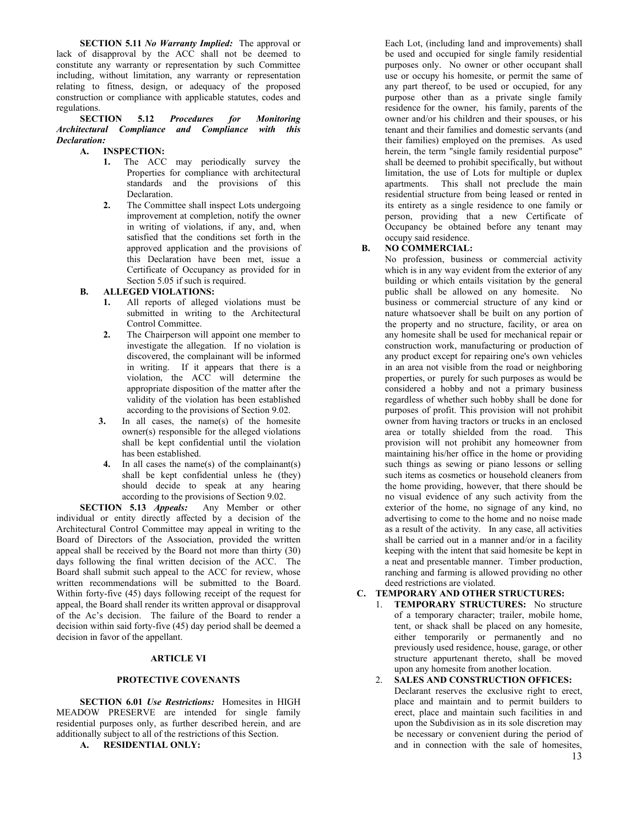**SECTION 5.11** *No Warranty Implied:* The approval or lack of disapproval by the ACC shall not be deemed to constitute any warranty or representation by such Committee including, without limitation, any warranty or representation relating to fitness, design, or adequacy of the proposed construction or compliance with applicable statutes, codes and regulations.

**SECTION 5.12** *Procedures for Monitoring Architectural Compliance and Compliance with this Declaration:*

### **A. INSPECTION:**

- **1.** The ACC may periodically survey the Properties for compliance with architectural standards and the provisions of this Declaration.
- **2.** The Committee shall inspect Lots undergoing improvement at completion, notify the owner in writing of violations, if any, and, when satisfied that the conditions set forth in the approved application and the provisions of this Declaration have been met, issue a Certificate of Occupancy as provided for in Section 5.05 if such is required.

### **B. ALLEGED VIOLATIONS:**

- **1.** All reports of alleged violations must be submitted in writing to the Architectural Control Committee.
- **2.** The Chairperson will appoint one member to investigate the allegation. If no violation is discovered, the complainant will be informed in writing. If it appears that there is a violation, the ACC will determine the appropriate disposition of the matter after the validity of the violation has been established according to the provisions of Section 9.02.
- **3.** In all cases, the name(s) of the homesite owner(s) responsible for the alleged violations shall be kept confidential until the violation has been established.
- **4.** In all cases the name(s) of the complainant(s) shall be kept confidential unless he (they) should decide to speak at any hearing according to the provisions of Section 9.02.

**SECTION 5.13** *Appeals:* Any Member or other individual or entity directly affected by a decision of the Architectural Control Committee may appeal in writing to the Board of Directors of the Association, provided the written appeal shall be received by the Board not more than thirty (30) days following the final written decision of the ACC. The Board shall submit such appeal to the ACC for review, whose written recommendations will be submitted to the Board. Within forty-five (45) days following receipt of the request for appeal, the Board shall render its written approval or disapproval of the Ac's decision. The failure of the Board to render a decision within said forty-five (45) day period shall be deemed a decision in favor of the appellant.

### **ARTICLE VI**

#### **PROTECTIVE COVENANTS**

**SECTION 6.01** *Use Restrictions:* Homesites in HIGH MEADOW PRESERVE are intended for single family residential purposes only, as further described herein, and are additionally subject to all of the restrictions of this Section.

**A. RESIDENTIAL ONLY:**

Each Lot, (including land and improvements) shall be used and occupied for single family residential purposes only. No owner or other occupant shall use or occupy his homesite, or permit the same of any part thereof, to be used or occupied, for any purpose other than as a private single family residence for the owner, his family, parents of the owner and/or his children and their spouses, or his tenant and their families and domestic servants (and their families) employed on the premises. As used herein, the term "single family residential purpose" shall be deemed to prohibit specifically, but without limitation, the use of Lots for multiple or duplex apartments. This shall not preclude the main residential structure from being leased or rented in its entirety as a single residence to one family or person, providing that a new Certificate of Occupancy be obtained before any tenant may occupy said residence.

### **B. NO COMMERCIAL:**

No profession, business or commercial activity which is in any way evident from the exterior of any building or which entails visitation by the general public shall be allowed on any homesite. No business or commercial structure of any kind or nature whatsoever shall be built on any portion of the property and no structure, facility, or area on any homesite shall be used for mechanical repair or construction work, manufacturing or production of any product except for repairing one's own vehicles in an area not visible from the road or neighboring properties, or purely for such purposes as would be considered a hobby and not a primary business regardless of whether such hobby shall be done for purposes of profit. This provision will not prohibit owner from having tractors or trucks in an enclosed area or totally shielded from the road. This provision will not prohibit any homeowner from maintaining his/her office in the home or providing such things as sewing or piano lessons or selling such items as cosmetics or household cleaners from the home providing, however, that there should be no visual evidence of any such activity from the exterior of the home, no signage of any kind, no advertising to come to the home and no noise made as a result of the activity. In any case, all activities shall be carried out in a manner and/or in a facility keeping with the intent that said homesite be kept in a neat and presentable manner. Timber production, ranching and farming is allowed providing no other deed restrictions are violated.

### **C. TEMPORARY AND OTHER STRUCTURES:**

1. **TEMPORARY STRUCTURES:** No structure of a temporary character; trailer, mobile home, tent, or shack shall be placed on any homesite, either temporarily or permanently and no previously used residence, house, garage, or other structure appurtenant thereto, shall be moved upon any homesite from another location.

2. **SALES AND CONSTRUCTION OFFICES:**  Declarant reserves the exclusive right to erect, place and maintain and to permit builders to erect, place and maintain such facilities in and upon the Subdivision as in its sole discretion may be necessary or convenient during the period of and in connection with the sale of homesites,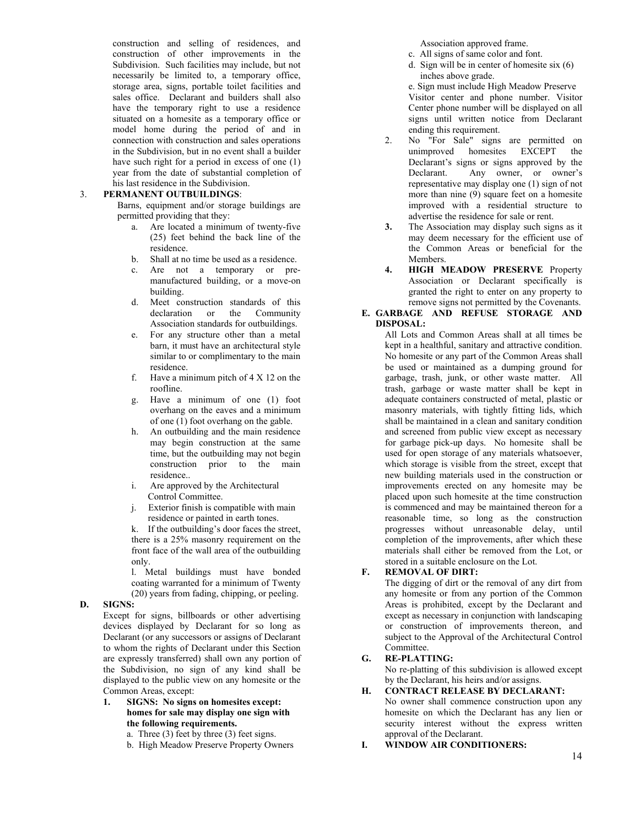construction and selling of residences, and construction of other improvements in the Subdivision. Such facilities may include, but not necessarily be limited to, a temporary office, storage area, signs, portable toilet facilities and sales office. Declarant and builders shall also have the temporary right to use a residence situated on a homesite as a temporary office or model home during the period of and in connection with construction and sales operations in the Subdivision, but in no event shall a builder have such right for a period in excess of one (1) year from the date of substantial completion of his last residence in the Subdivision.

### 3. **PERMANENT OUTBUILDINGS**:

Barns, equipment and/or storage buildings are permitted providing that they:

- a. Are located a minimum of twenty-five (25) feet behind the back line of the residence.
- b. Shall at no time be used as a residence.
- c. Are not a temporary or premanufactured building, or a move-on building.
- d. Meet construction standards of this declaration or the Community Association standards for outbuildings.
- e. For any structure other than a metal barn, it must have an architectural style similar to or complimentary to the main residence.
- f. Have a minimum pitch of  $4 \times 12$  on the roofline.
- g. Have a minimum of one (1) foot overhang on the eaves and a minimum of one (1) foot overhang on the gable.
- h. An outbuilding and the main residence may begin construction at the same time, but the outbuilding may not begin construction prior to the main residence..
- i. Are approved by the Architectural Control Committee.
- j. Exterior finish is compatible with main residence or painted in earth tones.

k. If the outbuilding's door faces the street, there is a 25% masonry requirement on the front face of the wall area of the outbuilding only.

l. Metal buildings must have bonded coating warranted for a minimum of Twenty (20) years from fading, chipping, or peeling.

### **D. SIGNS:**

Except for signs, billboards or other advertising devices displayed by Declarant for so long as Declarant (or any successors or assigns of Declarant to whom the rights of Declarant under this Section are expressly transferred) shall own any portion of the Subdivision, no sign of any kind shall be displayed to the public view on any homesite or the Common Areas, except:

**1. SIGNS: No signs on homesites except: homes for sale may display one sign with the following requirements.**

a. Three (3) feet by three (3) feet signs.

b. High Meadow Preserve Property Owners

Association approved frame.

- c. All signs of same color and font.
- d. Sign will be in center of homesite six (6) inches above grade.

e. Sign must include High Meadow Preserve Visitor center and phone number. Visitor Center phone number will be displayed on all signs until written notice from Declarant ending this requirement.

- 2. No "For Sale" signs are permitted on unimproved homesites EXCEPT the Declarant's signs or signs approved by the Declarant. Any owner, or owner's representative may display one (1) sign of not more than nine (9) square feet on a homesite improved with a residential structure to advertise the residence for sale or rent.
- **3.** The Association may display such signs as it may deem necessary for the efficient use of the Common Areas or beneficial for the Members.
- **4. HIGH MEADOW PRESERVE** Property Association or Declarant specifically is granted the right to enter on any property to remove signs not permitted by the Covenants.
- **E. GARBAGE AND REFUSE STORAGE AND DISPOSAL:**

All Lots and Common Areas shall at all times be kept in a healthful, sanitary and attractive condition. No homesite or any part of the Common Areas shall be used or maintained as a dumping ground for garbage, trash, junk, or other waste matter. All trash, garbage or waste matter shall be kept in adequate containers constructed of metal, plastic or masonry materials, with tightly fitting lids, which shall be maintained in a clean and sanitary condition and screened from public view except as necessary for garbage pick-up days. No homesite shall be used for open storage of any materials whatsoever, which storage is visible from the street, except that new building materials used in the construction or improvements erected on any homesite may be placed upon such homesite at the time construction is commenced and may be maintained thereon for a reasonable time, so long as the construction progresses without unreasonable delay, until completion of the improvements, after which these materials shall either be removed from the Lot, or stored in a suitable enclosure on the Lot.

### **F. REMOVAL OF DIRT:**

The digging of dirt or the removal of any dirt from any homesite or from any portion of the Common Areas is prohibited, except by the Declarant and except as necessary in conjunction with landscaping or construction of improvements thereon, and subject to the Approval of the Architectural Control Committee.

## **G. RE-PLATTING:**

No re-platting of this subdivision is allowed except by the Declarant, his heirs and/or assigns.

#### **H. CONTRACT RELEASE BY DECLARANT:**

No owner shall commence construction upon any homesite on which the Declarant has any lien or security interest without the express written approval of the Declarant.

**I. WINDOW AIR CONDITIONERS:** 

14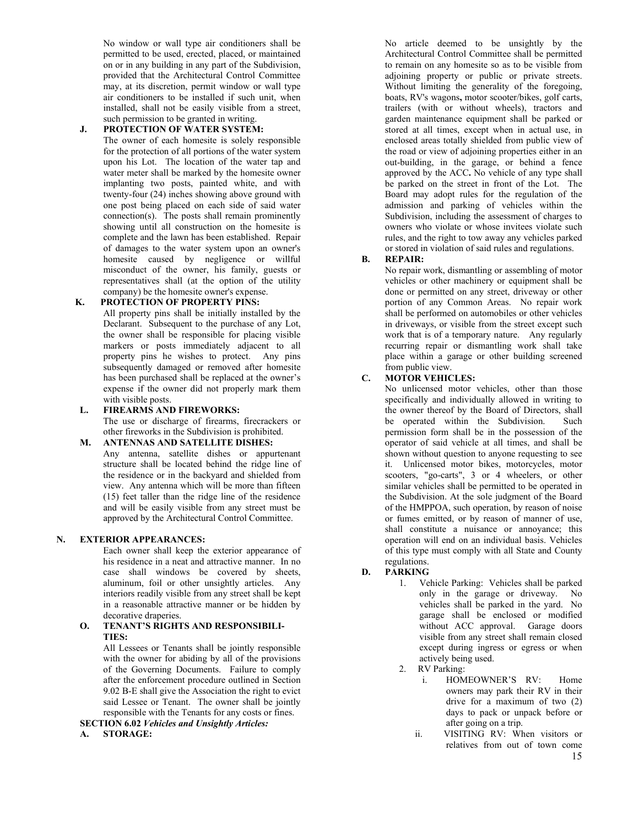No window or wall type air conditioners shall be permitted to be used, erected, placed, or maintained on or in any building in any part of the Subdivision, provided that the Architectural Control Committee may, at its discretion, permit window or wall type air conditioners to be installed if such unit, when installed, shall not be easily visible from a street, such permission to be granted in writing.

## **J. PROTECTION OF WATER SYSTEM:**

The owner of each homesite is solely responsible for the protection of all portions of the water system upon his Lot. The location of the water tap and water meter shall be marked by the homesite owner implanting two posts, painted white, and with twenty-four (24) inches showing above ground with one post being placed on each side of said water connection(s). The posts shall remain prominently showing until all construction on the homesite is complete and the lawn has been established. Repair of damages to the water system upon an owner's homesite caused by negligence or willful misconduct of the owner, his family, guests or representatives shall (at the option of the utility company) be the homesite owner's expense.

## **K. PROTECTION OF PROPERTY PINS:**

All property pins shall be initially installed by the Declarant. Subsequent to the purchase of any Lot, the owner shall be responsible for placing visible markers or posts immediately adjacent to all property pins he wishes to protect. Any pins subsequently damaged or removed after homesite has been purchased shall be replaced at the owner's expense if the owner did not properly mark them with visible posts.

### **L. FIREARMS AND FIREWORKS:**

The use or discharge of firearms, firecrackers or other fireworks in the Subdivision is prohibited.

### **M. ANTENNAS AND SATELLITE DISHES:**

Any antenna, satellite dishes or appurtenant structure shall be located behind the ridge line of the residence or in the backyard and shielded from view. Any antenna which will be more than fifteen (15) feet taller than the ridge line of the residence and will be easily visible from any street must be approved by the Architectural Control Committee.

### **N. EXTERIOR APPEARANCES:**

Each owner shall keep the exterior appearance of his residence in a neat and attractive manner. In no case shall windows be covered by sheets, aluminum, foil or other unsightly articles. Any interiors readily visible from any street shall be kept in a reasonable attractive manner or be hidden by decorative draperies.

### **O. TENANT'S RIGHTS AND RESPONSIBILI-TIES:**

All Lessees or Tenants shall be jointly responsible with the owner for abiding by all of the provisions of the Governing Documents. Failure to comply after the enforcement procedure outlined in Section 9.02 B-E shall give the Association the right to evict said Lessee or Tenant. The owner shall be jointly responsible with the Tenants for any costs or fines.

**SECTION 6.02** *Vehicles and Unsightly Articles:*  **A. STORAGE:**

No article deemed to be unsightly by the Architectural Control Committee shall be permitted to remain on any homesite so as to be visible from adjoining property or public or private streets. Without limiting the generality of the foregoing, boats, RV's wagons**,** motor scooter/bikes, golf carts, trailers (with or without wheels), tractors and garden maintenance equipment shall be parked or stored at all times, except when in actual use, in enclosed areas totally shielded from public view of the road or view of adjoining properties either in an out-building, in the garage, or behind a fence approved by the ACC**.** No vehicle of any type shall be parked on the street in front of the Lot. The Board may adopt rules for the regulation of the admission and parking of vehicles within the Subdivision, including the assessment of charges to owners who violate or whose invitees violate such rules, and the right to tow away any vehicles parked or stored in violation of said rules and regulations.

### **B. REPAIR:**

No repair work, dismantling or assembling of motor vehicles or other machinery or equipment shall be done or permitted on any street, driveway or other portion of any Common Areas. No repair work shall be performed on automobiles or other vehicles in driveways, or visible from the street except such work that is of a temporary nature. Any regularly recurring repair or dismantling work shall take place within a garage or other building screened from public view.

### **C. MOTOR VEHICLES:**

No unlicensed motor vehicles, other than those specifically and individually allowed in writing to the owner thereof by the Board of Directors, shall be operated within the Subdivision. Such permission form shall be in the possession of the operator of said vehicle at all times, and shall be shown without question to anyone requesting to see it. Unlicensed motor bikes, motorcycles, motor scooters, "go-carts", 3 or 4 wheelers, or other similar vehicles shall be permitted to be operated in the Subdivision. At the sole judgment of the Board of the HMPPOA, such operation, by reason of noise or fumes emitted, or by reason of manner of use, shall constitute a nuisance or annoyance; this operation will end on an individual basis. Vehicles of this type must comply with all State and County regulations.

### **D. PARKING**

1. Vehicle Parking: Vehicles shall be parked only in the garage or driveway. No vehicles shall be parked in the yard. No garage shall be enclosed or modified without ACC approval. Garage doors visible from any street shall remain closed except during ingress or egress or when actively being used.

2. RV Parking:

- i. HOMEOWNER'S RV: Home owners may park their RV in their drive for a maximum of two (2) days to pack or unpack before or after going on a trip.
- 15 ii. VISITING RV: When visitors or relatives from out of town come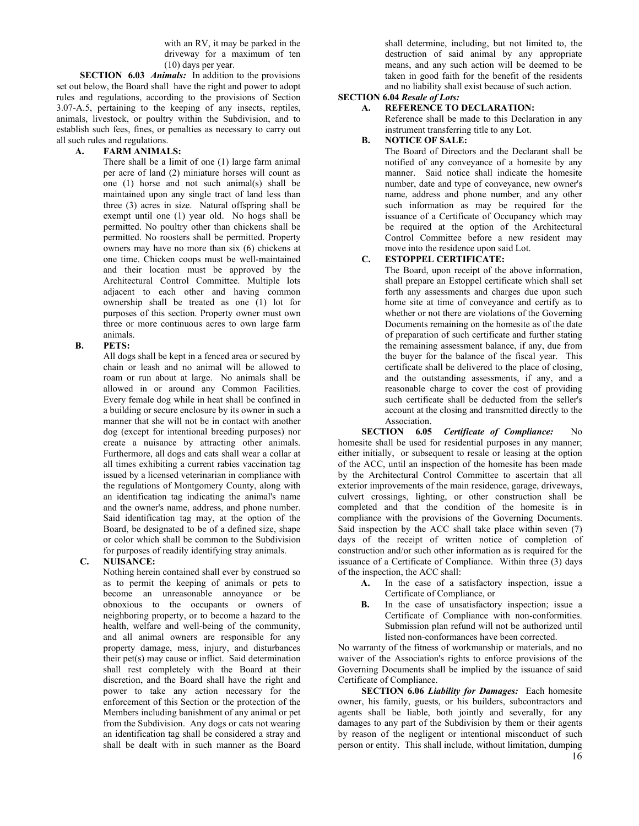with an RV, it may be parked in the driveway for a maximum of ten (10) days per year.

**SECTION 6.03** *Animals:* In addition to the provisions set out below, the Board shall have the right and power to adopt rules and regulations, according to the provisions of Section 3.07-A.5, pertaining to the keeping of any insects, reptiles, animals, livestock, or poultry within the Subdivision, and to establish such fees, fines, or penalties as necessary to carry out all such rules and regulations.

#### **A. FARM ANIMALS:**

There shall be a limit of one (1) large farm animal per acre of land (2) miniature horses will count as one (1) horse and not such animal(s) shall be maintained upon any single tract of land less than three (3) acres in size. Natural offspring shall be exempt until one (1) year old. No hogs shall be permitted. No poultry other than chickens shall be permitted. No roosters shall be permitted. Property owners may have no more than six (6) chickens at one time. Chicken coops must be well-maintained and their location must be approved by the Architectural Control Committee. Multiple lots adjacent to each other and having common ownership shall be treated as one (1) lot for purposes of this section. Property owner must own three or more continuous acres to own large farm animals.

### **B. PETS:**

All dogs shall be kept in a fenced area or secured by chain or leash and no animal will be allowed to roam or run about at large. No animals shall be allowed in or around any Common Facilities. Every female dog while in heat shall be confined in a building or secure enclosure by its owner in such a manner that she will not be in contact with another dog (except for intentional breeding purposes) nor create a nuisance by attracting other animals. Furthermore, all dogs and cats shall wear a collar at all times exhibiting a current rabies vaccination tag issued by a licensed veterinarian in compliance with the regulations of Montgomery County, along with an identification tag indicating the animal's name and the owner's name, address, and phone number. Said identification tag may, at the option of the Board, be designated to be of a defined size, shape or color which shall be common to the Subdivision for purposes of readily identifying stray animals.

### **C. NUISANCE:**

Nothing herein contained shall ever by construed so as to permit the keeping of animals or pets to become an unreasonable annoyance or be obnoxious to the occupants or owners of neighboring property, or to become a hazard to the health, welfare and well-being of the community, and all animal owners are responsible for any property damage, mess, injury, and disturbances their pet(s) may cause or inflict. Said determination shall rest completely with the Board at their discretion, and the Board shall have the right and power to take any action necessary for the enforcement of this Section or the protection of the Members including banishment of any animal or pet from the Subdivision. Any dogs or cats not wearing an identification tag shall be considered a stray and shall be dealt with in such manner as the Board

shall determine, including, but not limited to, the destruction of said animal by any appropriate means, and any such action will be deemed to be taken in good faith for the benefit of the residents and no liability shall exist because of such action.

## **SECTION 6.04** *Resale of Lots:*

### **A. REFERENCE TO DECLARATION:**

Reference shall be made to this Declaration in any instrument transferring title to any Lot.

### **B. NOTICE OF SALE:**

The Board of Directors and the Declarant shall be notified of any conveyance of a homesite by any manner. Said notice shall indicate the homesite number, date and type of conveyance, new owner's name, address and phone number, and any other such information as may be required for the issuance of a Certificate of Occupancy which may be required at the option of the Architectural Control Committee before a new resident may move into the residence upon said Lot.

### **C. ESTOPPEL CERTIFICATE:**

The Board, upon receipt of the above information, shall prepare an Estoppel certificate which shall set forth any assessments and charges due upon such home site at time of conveyance and certify as to whether or not there are violations of the Governing Documents remaining on the homesite as of the date of preparation of such certificate and further stating the remaining assessment balance, if any, due from the buyer for the balance of the fiscal year. This certificate shall be delivered to the place of closing, and the outstanding assessments, if any, and a reasonable charge to cover the cost of providing such certificate shall be deducted from the seller's account at the closing and transmitted directly to the Association.

**SECTION 6.05** *Certificate of Compliance:* No homesite shall be used for residential purposes in any manner; either initially, or subsequent to resale or leasing at the option of the ACC, until an inspection of the homesite has been made by the Architectural Control Committee to ascertain that all exterior improvements of the main residence, garage, driveways, culvert crossings, lighting, or other construction shall be completed and that the condition of the homesite is in compliance with the provisions of the Governing Documents. Said inspection by the ACC shall take place within seven (7) days of the receipt of written notice of completion of construction and/or such other information as is required for the issuance of a Certificate of Compliance. Within three (3) days of the inspection, the ACC shall:

- **A.** In the case of a satisfactory inspection, issue a Certificate of Compliance, or
- **B.** In the case of unsatisfactory inspection; issue a Certificate of Compliance with non-conformities. Submission plan refund will not be authorized until listed non-conformances have been corrected.

No warranty of the fitness of workmanship or materials, and no waiver of the Association's rights to enforce provisions of the Governing Documents shall be implied by the issuance of said Certificate of Compliance.

**SECTION 6.06** *Liability for Damages:* Each homesite owner, his family, guests, or his builders, subcontractors and agents shall be liable, both jointly and severally, for any damages to any part of the Subdivision by them or their agents by reason of the negligent or intentional misconduct of such person or entity. This shall include, without limitation, dumping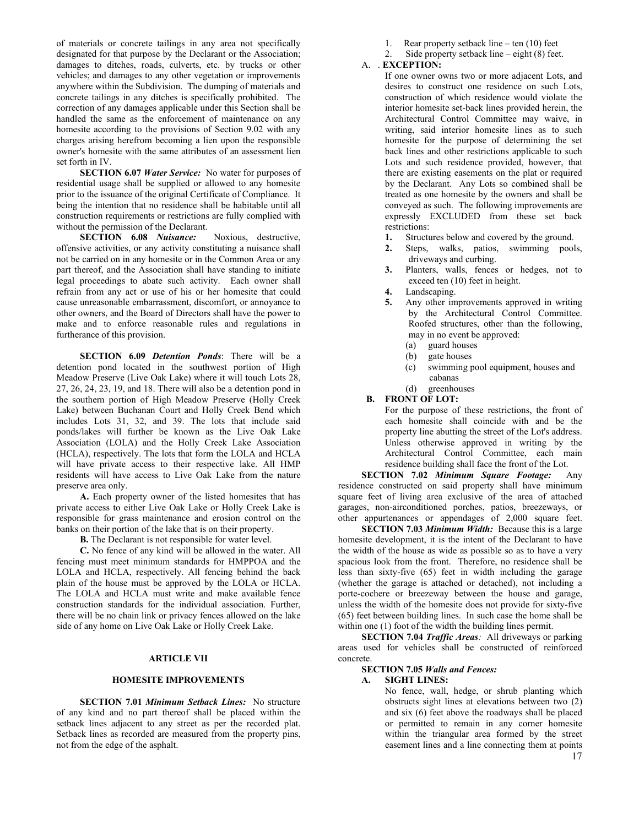of materials or concrete tailings in any area not specifically designated for that purpose by the Declarant or the Association; damages to ditches, roads, culverts, etc. by trucks or other vehicles; and damages to any other vegetation or improvements anywhere within the Subdivision. The dumping of materials and concrete tailings in any ditches is specifically prohibited. The correction of any damages applicable under this Section shall be handled the same as the enforcement of maintenance on any homesite according to the provisions of Section 9.02 with any charges arising herefrom becoming a lien upon the responsible owner's homesite with the same attributes of an assessment lien set forth in IV.

**SECTION 6.07** *Water Service:* No water for purposes of residential usage shall be supplied or allowed to any homesite prior to the issuance of the original Certificate of Compliance. It being the intention that no residence shall be habitable until all construction requirements or restrictions are fully complied with without the permission of the Declarant.<br>SECTION 6.08 *Nuisance*: Noxious, destructive,

**SECTION 6.08** *Nuisance:* offensive activities, or any activity constituting a nuisance shall not be carried on in any homesite or in the Common Area or any part thereof, and the Association shall have standing to initiate legal proceedings to abate such activity. Each owner shall refrain from any act or use of his or her homesite that could cause unreasonable embarrassment, discomfort, or annoyance to other owners, and the Board of Directors shall have the power to make and to enforce reasonable rules and regulations in furtherance of this provision.

**SECTION 6.09** *Detention Ponds*: There will be a detention pond located in the southwest portion of High Meadow Preserve (Live Oak Lake) where it will touch Lots 28, 27, 26, 24, 23, 19, and 18. There will also be a detention pond in the southern portion of High Meadow Preserve (Holly Creek Lake) between Buchanan Court and Holly Creek Bend which includes Lots 31, 32, and 39. The lots that include said ponds/lakes will further be known as the Live Oak Lake Association (LOLA) and the Holly Creek Lake Association (HCLA), respectively. The lots that form the LOLA and HCLA will have private access to their respective lake. All HMP residents will have access to Live Oak Lake from the nature preserve area only.

**A.** Each property owner of the listed homesites that has private access to either Live Oak Lake or Holly Creek Lake is responsible for grass maintenance and erosion control on the banks on their portion of the lake that is on their property.

**B.** The Declarant is not responsible for water level.

**C.** No fence of any kind will be allowed in the water. All fencing must meet minimum standards for HMPPOA and the LOLA and HCLA, respectively. All fencing behind the back plain of the house must be approved by the LOLA or HCLA. The LOLA and HCLA must write and make available fence construction standards for the individual association. Further, there will be no chain link or privacy fences allowed on the lake side of any home on Live Oak Lake or Holly Creek Lake.

### **ARTICLE VII**

#### **HOMESITE IMPROVEMENTS**

**SECTION 7.01** *Minimum Setback Lines:* No structure of any kind and no part thereof shall be placed within the setback lines adjacent to any street as per the recorded plat. Setback lines as recorded are measured from the property pins, not from the edge of the asphalt.

1. Rear property setback line – ten (10) feet

2. Side property setback line – eight (8) feet.

#### A. . **EXCEPTION:**

If one owner owns two or more adjacent Lots, and desires to construct one residence on such Lots, construction of which residence would violate the interior homesite set-back lines provided herein, the Architectural Control Committee may waive, in writing, said interior homesite lines as to such homesite for the purpose of determining the set back lines and other restrictions applicable to such Lots and such residence provided, however, that there are existing easements on the plat or required by the Declarant. Any Lots so combined shall be treated as one homesite by the owners and shall be conveyed as such. The following improvements are expressly EXCLUDED from these set back restrictions:

- **1.** Structures below and covered by the ground.
- **2.** Steps, walks, patios, swimming pools, driveways and curbing.
- **3.** Planters, walls, fences or hedges, not to exceed ten (10) feet in height.
- **4.** Landscaping.
- **5.** Any other improvements approved in writing by the Architectural Control Committee. Roofed structures, other than the following, may in no event be approved:
	- (a) guard houses
	- (b) gate houses
	- (c) swimming pool equipment, houses and cabanas
	- (d) greenhouses
- **B. FRONT OF LOT:**

For the purpose of these restrictions, the front of each homesite shall coincide with and be the property line abutting the street of the Lot's address. Unless otherwise approved in writing by the Architectural Control Committee, each main residence building shall face the front of the Lot.

**SECTION 7.02** *Minimum Square Footage:* Any residence constructed on said property shall have minimum square feet of living area exclusive of the area of attached garages, non-airconditioned porches, patios, breezeways, or other appurtenances or appendages of 2,000 square feet.

**SECTION 7.03** *Minimum Width:* Because this is a large homesite development, it is the intent of the Declarant to have the width of the house as wide as possible so as to have a very spacious look from the front. Therefore, no residence shall be less than sixty-five (65) feet in width including the garage (whether the garage is attached or detached), not including a porte-cochere or breezeway between the house and garage, unless the width of the homesite does not provide for sixty-five (65) feet between building lines. In such case the home shall be within one (1) foot of the width the building lines permit.

**SECTION 7.04** *Traffic Areas:* All driveways or parking areas used for vehicles shall be constructed of reinforced concrete.

## **SECTION 7.05** *Walls and Fences:*

### **A. SIGHT LINES:**

17 No fence, wall, hedge, or shrub planting which obstructs sight lines at elevations between two (2) and six (6) feet above the roadways shall be placed or permitted to remain in any corner homesite within the triangular area formed by the street easement lines and a line connecting them at points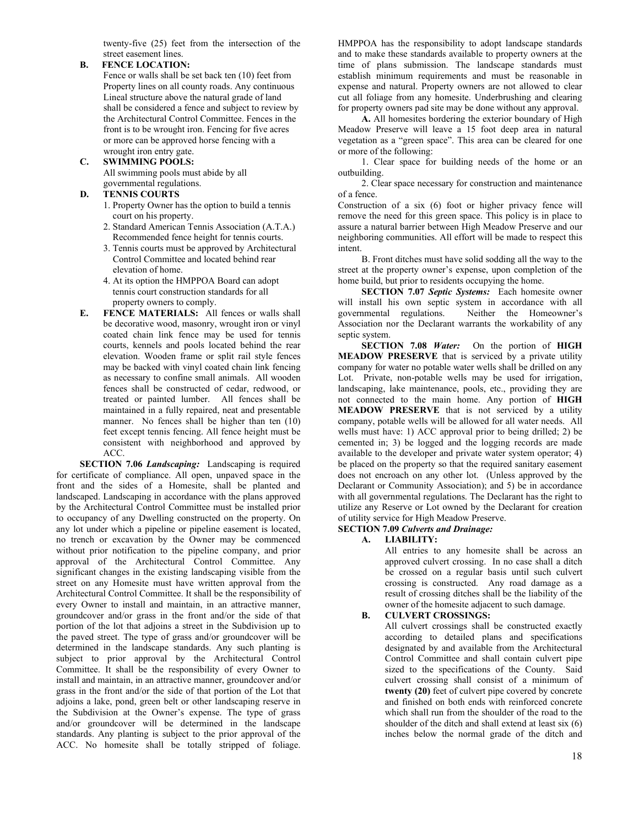twenty-five (25) feet from the intersection of the street easement lines.

### **B. FENCE LOCATION:**

Fence or walls shall be set back ten (10) feet from Property lines on all county roads. Any continuous Lineal structure above the natural grade of land shall be considered a fence and subject to review by the Architectural Control Committee. Fences in the front is to be wrought iron. Fencing for five acres or more can be approved horse fencing with a wrought iron entry gate.

### **C. SWIMMING POOLS:**

 All swimming pools must abide by all governmental regulations.<br>D. TENNIS COURTS

## TENNIS COURTS

- 1. Property Owner has the option to build a tennis court on his property.
- 2. Standard American Tennis Association (A.T.A.) Recommended fence height for tennis courts.
- 3. Tennis courts must be approved by Architectural Control Committee and located behind rear elevation of home.
- 4. At its option the HMPPOA Board can adopt tennis court construction standards for all property owners to comply.
- **E. FENCE MATERIALS:** All fences or walls shall be decorative wood, masonry, wrought iron or vinyl coated chain link fence may be used for tennis courts, kennels and pools located behind the rear elevation. Wooden frame or split rail style fences may be backed with vinyl coated chain link fencing as necessary to confine small animals. All wooden fences shall be constructed of cedar, redwood, or treated or painted lumber. All fences shall be maintained in a fully repaired, neat and presentable manner. No fences shall be higher than ten (10) feet except tennis fencing. All fence height must be consistent with neighborhood and approved by ACC.

**SECTION 7.06** *Landscaping:* Landscaping is required for certificate of compliance. All open, unpaved space in the front and the sides of a Homesite, shall be planted and landscaped. Landscaping in accordance with the plans approved by the Architectural Control Committee must be installed prior to occupancy of any Dwelling constructed on the property. On any lot under which a pipeline or pipeline easement is located, no trench or excavation by the Owner may be commenced without prior notification to the pipeline company, and prior approval of the Architectural Control Committee. Any significant changes in the existing landscaping visible from the street on any Homesite must have written approval from the Architectural Control Committee. It shall be the responsibility of every Owner to install and maintain, in an attractive manner, groundcover and/or grass in the front and/or the side of that portion of the lot that adjoins a street in the Subdivision up to the paved street. The type of grass and/or groundcover will be determined in the landscape standards. Any such planting is subject to prior approval by the Architectural Control Committee. It shall be the responsibility of every Owner to install and maintain, in an attractive manner, groundcover and/or grass in the front and/or the side of that portion of the Lot that adjoins a lake, pond, green belt or other landscaping reserve in the Subdivision at the Owner's expense. The type of grass and/or groundcover will be determined in the landscape standards. Any planting is subject to the prior approval of the ACC. No homesite shall be totally stripped of foliage.

HMPPOA has the responsibility to adopt landscape standards and to make these standards available to property owners at the time of plans submission. The landscape standards must establish minimum requirements and must be reasonable in expense and natural. Property owners are not allowed to clear cut all foliage from any homesite. Underbrushing and clearing for property owners pad site may be done without any approval.

**A.** All homesites bordering the exterior boundary of High Meadow Preserve will leave a 15 foot deep area in natural vegetation as a "green space". This area can be cleared for one or more of the following:

1. Clear space for building needs of the home or an outbuilding.

2. Clear space necessary for construction and maintenance of a fence.

Construction of a six (6) foot or higher privacy fence will remove the need for this green space. This policy is in place to assure a natural barrier between High Meadow Preserve and our neighboring communities. All effort will be made to respect this intent.

B. Front ditches must have solid sodding all the way to the street at the property owner's expense, upon completion of the home build, but prior to residents occupying the home.

**SECTION 7.07** *Septic Systems:* Each homesite owner will install his own septic system in accordance with all governmental regulations. Neither the Homeowner's Neither the Homeowner's Association nor the Declarant warrants the workability of any septic system.

**SECTION 7.08** *Water:* On the portion of **HIGH MEADOW PRESERVE** that is serviced by a private utility company for water no potable water wells shall be drilled on any Lot. Private, non-potable wells may be used for irrigation, landscaping, lake maintenance, pools, etc., providing they are not connected to the main home. Any portion of **HIGH MEADOW PRESERVE** that is not serviced by a utility company, potable wells will be allowed for all water needs. All wells must have: 1) ACC approval prior to being drilled; 2) be cemented in; 3) be logged and the logging records are made available to the developer and private water system operator; 4) be placed on the property so that the required sanitary easement does not encroach on any other lot. (Unless approved by the Declarant or Community Association); and 5) be in accordance with all governmental regulations. The Declarant has the right to utilize any Reserve or Lot owned by the Declarant for creation of utility service for High Meadow Preserve.

### **SECTION 7.09** *Culverts and Drainage:*

### **A. LIABILITY:**

All entries to any homesite shall be across an approved culvert crossing. In no case shall a ditch be crossed on a regular basis until such culvert crossing is constructed. Any road damage as a result of crossing ditches shall be the liability of the owner of the homesite adjacent to such damage.

### **B. CULVERT CROSSINGS:**

All culvert crossings shall be constructed exactly according to detailed plans and specifications designated by and available from the Architectural Control Committee and shall contain culvert pipe sized to the specifications of the County. Said culvert crossing shall consist of a minimum of **twenty (20)** feet of culvert pipe covered by concrete and finished on both ends with reinforced concrete which shall run from the shoulder of the road to the shoulder of the ditch and shall extend at least six (6) inches below the normal grade of the ditch and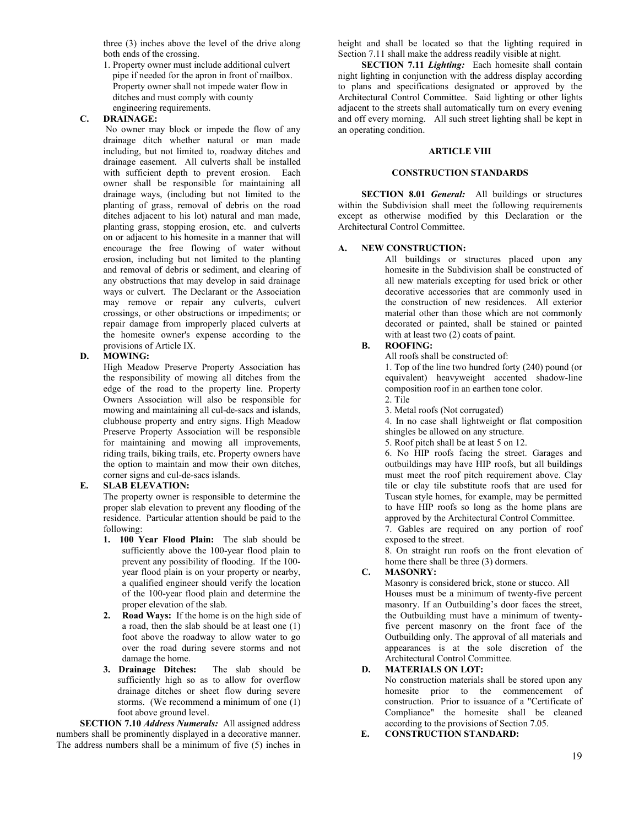three (3) inches above the level of the drive along both ends of the crossing.

1. Property owner must include additional culvert pipe if needed for the apron in front of mailbox. Property owner shall not impede water flow in ditches and must comply with county engineering requirements.

### **C. DRAINAGE:**

No owner may block or impede the flow of any drainage ditch whether natural or man made including, but not limited to, roadway ditches and drainage easement. All culverts shall be installed with sufficient depth to prevent erosion. Each owner shall be responsible for maintaining all drainage ways, (including but not limited to the planting of grass, removal of debris on the road ditches adjacent to his lot) natural and man made, planting grass, stopping erosion, etc. and culverts on or adjacent to his homesite in a manner that will encourage the free flowing of water without erosion, including but not limited to the planting and removal of debris or sediment, and clearing of any obstructions that may develop in said drainage ways or culvert. The Declarant or the Association may remove or repair any culverts, culvert crossings, or other obstructions or impediments; or repair damage from improperly placed culverts at the homesite owner's expense according to the provisions of Article IX.

### **D. MOWING:**

High Meadow Preserve Property Association has the responsibility of mowing all ditches from the edge of the road to the property line. Property Owners Association will also be responsible for mowing and maintaining all cul-de-sacs and islands, clubhouse property and entry signs. High Meadow Preserve Property Association will be responsible for maintaining and mowing all improvements, riding trails, biking trails, etc. Property owners have the option to maintain and mow their own ditches, corner signs and cul-de-sacs islands.

### **E. SLAB ELEVATION:**

The property owner is responsible to determine the proper slab elevation to prevent any flooding of the residence. Particular attention should be paid to the following:

- **1. 100 Year Flood Plain:** The slab should be sufficiently above the 100-year flood plain to prevent any possibility of flooding. If the 100 year flood plain is on your property or nearby, a qualified engineer should verify the location of the 100-year flood plain and determine the proper elevation of the slab.
- **2. Road Ways:** If the home is on the high side of a road, then the slab should be at least one (1) foot above the roadway to allow water to go over the road during severe storms and not damage the home.
- **3. Drainage Ditches:** The slab should be sufficiently high so as to allow for overflow drainage ditches or sheet flow during severe storms. (We recommend a minimum of one (1) foot above ground level.

**SECTION 7.10** *Address Numerals:* All assigned address numbers shall be prominently displayed in a decorative manner. The address numbers shall be a minimum of five (5) inches in

height and shall be located so that the lighting required in Section 7.11 shall make the address readily visible at night.

**SECTION 7.11** *Lighting*: Each homesite shall contain night lighting in conjunction with the address display according to plans and specifications designated or approved by the Architectural Control Committee. Said lighting or other lights adjacent to the streets shall automatically turn on every evening and off every morning. All such street lighting shall be kept in an operating condition.

### **ARTICLE VIII**

### **CONSTRUCTION STANDARDS**

**SECTION 8.01** *General:* All buildings or structures within the Subdivision shall meet the following requirements except as otherwise modified by this Declaration or the Architectural Control Committee.

#### **A. NEW CONSTRUCTION:**

All buildings or structures placed upon any homesite in the Subdivision shall be constructed of all new materials excepting for used brick or other decorative accessories that are commonly used in the construction of new residences. All exterior material other than those which are not commonly decorated or painted, shall be stained or painted with at least two  $(2)$  coats of paint.

### **B. ROOFING:**

All roofs shall be constructed of:

1. Top of the line two hundred forty (240) pound (or equivalent) heavyweight accented shadow-line composition roof in an earthen tone color.

- 2. Tile
- 3. Metal roofs (Not corrugated)

4. In no case shall lightweight or flat composition shingles be allowed on any structure.

5. Roof pitch shall be at least 5 on 12.

6. No HIP roofs facing the street. Garages and outbuildings may have HIP roofs, but all buildings must meet the roof pitch requirement above. Clay tile or clay tile substitute roofs that are used for Tuscan style homes, for example, may be permitted to have HIP roofs so long as the home plans are approved by the Architectural Control Committee.

7. Gables are required on any portion of roof exposed to the street.

8. On straight run roofs on the front elevation of home there shall be three (3) dormers.

#### **C. MASONRY:**

Masonry is considered brick, stone or stucco. All Houses must be a minimum of twenty-five percent masonry. If an Outbuilding's door faces the street, the Outbuilding must have a minimum of twentyfive percent masonry on the front face of the Outbuilding only. The approval of all materials and appearances is at the sole discretion of the Architectural Control Committee.

### **D. MATERIALS ON LOT:**

No construction materials shall be stored upon any homesite prior to the commencement of construction. Prior to issuance of a "Certificate of Compliance" the homesite shall be cleaned according to the provisions of Section 7.05.

**E. CONSTRUCTION STANDARD:**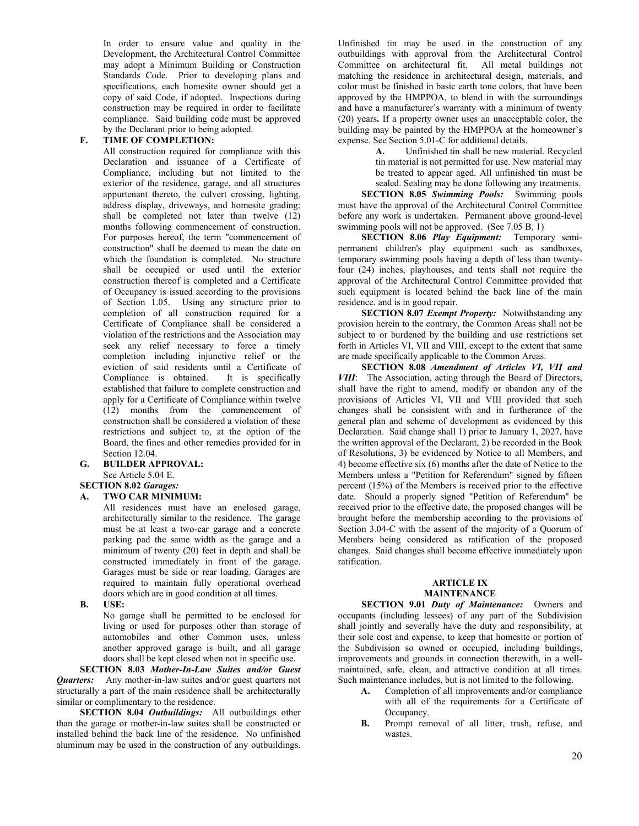In order to ensure value and quality in the Development, the Architectural Control Committee may adopt a Minimum Building or Construction Standards Code. Prior to developing plans and specifications, each homesite owner should get a copy of said Code, if adopted. Inspections during construction may be required in order to facilitate compliance. Said building code must be approved by the Declarant prior to being adopted.

### **F. TIME OF COMPLETION:**

All construction required for compliance with this Declaration and issuance of a Certificate of Compliance, including but not limited to the exterior of the residence, garage, and all structures appurtenant thereto, the culvert crossing, lighting, address display, driveways, and homesite grading; shall be completed not later than twelve (12) months following commencement of construction. For purposes hereof, the term "commencement of construction" shall be deemed to mean the date on which the foundation is completed. No structure shall be occupied or used until the exterior construction thereof is completed and a Certificate of Occupancy is issued according to the provisions of Section 1.05. Using any structure prior to completion of all construction required for a Certificate of Compliance shall be considered a violation of the restrictions and the Association may seek any relief necessary to force a timely completion including injunctive relief or the eviction of said residents until a Certificate of Compliance is obtained. It is specifically established that failure to complete construction and apply for a Certificate of Compliance within twelve (12) months from the commencement of construction shall be considered a violation of these restrictions and subject to, at the option of the Board, the fines and other remedies provided for in Section 12.04.

## **G. BUILDER APPROVAL:**

See Article 5.04 E.

### **SECTION 8.02** *Garages:*

### **A. TWO CAR MINIMUM:**

All residences must have an enclosed garage, architecturally similar to the residence. The garage must be at least a two-car garage and a concrete parking pad the same width as the garage and a minimum of twenty (20) feet in depth and shall be constructed immediately in front of the garage. Garages must be side or rear loading. Garages are required to maintain fully operational overhead doors which are in good condition at all times.

**B. USE:**

No garage shall be permitted to be enclosed for living or used for purposes other than storage of automobiles and other Common uses, unless another approved garage is built, and all garage doors shall be kept closed when not in specific use.

**SECTION 8.03** *Mother-In-Law Suites and/or Guest Quarters:* Any mother-in-law suites and/or guest quarters not structurally a part of the main residence shall be architecturally similar or complimentary to the residence.

**SECTION 8.04** *Outbuildings:* All outbuildings other than the garage or mother-in-law suites shall be constructed or installed behind the back line of the residence. No unfinished aluminum may be used in the construction of any outbuildings.

Unfinished tin may be used in the construction of any outbuildings with approval from the Architectural Control Committee on architectural fit. All metal buildings not matching the residence in architectural design, materials, and color must be finished in basic earth tone colors, that have been approved by the HMPPOA, to blend in with the surroundings and have a manufacturer's warranty with a minimum of twenty (20) years**.** If a property owner uses an unacceptable color, the building may be painted by the HMPPOA at the homeowner's expense. See Section 5.01-C for additional details.

> **A.** Unfinished tin shall be new material. Recycled tin material is not permitted for use. New material may be treated to appear aged. All unfinished tin must be sealed. Sealing may be done following any treatments.

**SECTION 8.05** *Swimming Pools:* Swimming pools must have the approval of the Architectural Control Committee before any work is undertaken. Permanent above ground-level swimming pools will not be approved. (See 7.05 B, 1)

**SECTION 8.06** *Play Equipment:* Temporary semipermanent children's play equipment such as sandboxes, temporary swimming pools having a depth of less than twentyfour (24) inches, playhouses, and tents shall not require the approval of the Architectural Control Committee provided that such equipment is located behind the back line of the main residence. and is in good repair.

**SECTION 8.07** *Exempt Property:* Notwithstanding any provision herein to the contrary, the Common Areas shall not be subject to or burdened by the building and use restrictions set forth in Articles VI, VII and VIII, except to the extent that same are made specifically applicable to the Common Areas.

**SECTION 8.08** *Amendment of Articles VI, VII and VIII*: The Association, acting through the Board of Directors, shall have the right to amend, modify or abandon any of the provisions of Articles VI, VII and VIII provided that such changes shall be consistent with and in furtherance of the general plan and scheme of development as evidenced by this Declaration. Said change shall 1) prior to January 1, 2027, have the written approval of the Declarant, 2) be recorded in the Book of Resolutions, 3) be evidenced by Notice to all Members, and 4) become effective six (6) months after the date of Notice to the Members unless a "Petition for Referendum" signed by fifteen percent (15%) of the Members is received prior to the effective date. Should a properly signed "Petition of Referendum" be received prior to the effective date, the proposed changes will be brought before the membership according to the provisions of Section 3.04-C with the assent of the majority of a Quorum of Members being considered as ratification of the proposed changes. Said changes shall become effective immediately upon ratification.

### **ARTICLE IX MAINTENANCE**

**SECTION 9.01** *Duty of Maintenance:* Owners and occupants (including lessees) of any part of the Subdivision shall jointly and severally have the duty and responsibility, at their sole cost and expense, to keep that homesite or portion of the Subdivision so owned or occupied, including buildings, improvements and grounds in connection therewith, in a wellmaintained, safe, clean, and attractive condition at all times. Such maintenance includes, but is not limited to the following.

- **A.** Completion of all improvements and/or compliance with all of the requirements for a Certificate of Occupancy.
- **B.** Prompt removal of all litter, trash, refuse, and wastes.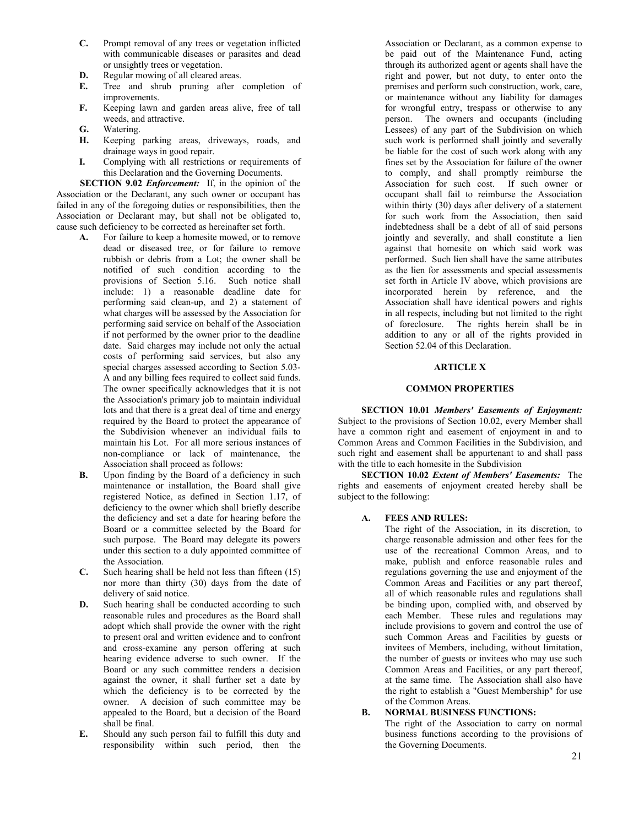- **C.** Prompt removal of any trees or vegetation inflicted with communicable diseases or parasites and dead or unsightly trees or vegetation.
- **D.** Regular mowing of all cleared areas.<br>**E.** Tree and shrub pruning after
- Tree and shrub pruning after completion of improvements.
- **F.** Keeping lawn and garden areas alive, free of tall weeds, and attractive.
- **G.** Watering.
- **H.** Keeping parking areas, driveways, roads, and drainage ways in good repair.
- **I.** Complying with all restrictions or requirements of this Declaration and the Governing Documents.

**SECTION 9.02** *Enforcement:* If, in the opinion of the Association or the Declarant, any such owner or occupant has failed in any of the foregoing duties or responsibilities, then the Association or Declarant may, but shall not be obligated to, cause such deficiency to be corrected as hereinafter set forth.

- **A.** For failure to keep a homesite mowed, or to remove dead or diseased tree, or for failure to remove rubbish or debris from a Lot; the owner shall be notified of such condition according to the provisions of Section 5.16. Such notice shall include: 1) a reasonable deadline date for performing said clean-up, and 2) a statement of what charges will be assessed by the Association for performing said service on behalf of the Association if not performed by the owner prior to the deadline date. Said charges may include not only the actual costs of performing said services, but also any special charges assessed according to Section 5.03- A and any billing fees required to collect said funds. The owner specifically acknowledges that it is not the Association's primary job to maintain individual lots and that there is a great deal of time and energy required by the Board to protect the appearance of the Subdivision whenever an individual fails to maintain his Lot. For all more serious instances of non-compliance or lack of maintenance, the Association shall proceed as follows:
- **B.** Upon finding by the Board of a deficiency in such maintenance or installation, the Board shall give registered Notice, as defined in Section 1.17, of deficiency to the owner which shall briefly describe the deficiency and set a date for hearing before the Board or a committee selected by the Board for such purpose. The Board may delegate its powers under this section to a duly appointed committee of the Association.
- **C.** Such hearing shall be held not less than fifteen (15) nor more than thirty (30) days from the date of delivery of said notice.
- **D.** Such hearing shall be conducted according to such reasonable rules and procedures as the Board shall adopt which shall provide the owner with the right to present oral and written evidence and to confront and cross-examine any person offering at such hearing evidence adverse to such owner. If the Board or any such committee renders a decision against the owner, it shall further set a date by which the deficiency is to be corrected by the owner. A decision of such committee may be appealed to the Board, but a decision of the Board shall be final.
- **E.** Should any such person fail to fulfill this duty and responsibility within such period, then the

Association or Declarant, as a common expense to be paid out of the Maintenance Fund, acting through its authorized agent or agents shall have the right and power, but not duty, to enter onto the premises and perform such construction, work, care, or maintenance without any liability for damages for wrongful entry, trespass or otherwise to any person. The owners and occupants (including Lessees) of any part of the Subdivision on which such work is performed shall jointly and severally be liable for the cost of such work along with any fines set by the Association for failure of the owner to comply, and shall promptly reimburse the Association for such cost. If such owner or occupant shall fail to reimburse the Association within thirty (30) days after delivery of a statement for such work from the Association, then said indebtedness shall be a debt of all of said persons jointly and severally, and shall constitute a lien against that homesite on which said work was performed. Such lien shall have the same attributes as the lien for assessments and special assessments set forth in Article IV above, which provisions are incorporated herein by reference, and the Association shall have identical powers and rights in all respects, including but not limited to the right of foreclosure. The rights herein shall be in addition to any or all of the rights provided in Section 52.04 of this Declaration.

### **ARTICLE X**

#### **COMMON PROPERTIES**

**SECTION 10.01** *Members' Easements of Enjoyment:*  Subject to the provisions of Section 10.02, every Member shall have a common right and easement of enjoyment in and to Common Areas and Common Facilities in the Subdivision, and such right and easement shall be appurtenant to and shall pass with the title to each homesite in the Subdivision

**SECTION 10.02** *Extent of Members' Easements:* The rights and easements of enjoyment created hereby shall be subject to the following:

**A. FEES AND RULES:**

The right of the Association, in its discretion, to charge reasonable admission and other fees for the use of the recreational Common Areas, and to make, publish and enforce reasonable rules and regulations governing the use and enjoyment of the Common Areas and Facilities or any part thereof, all of which reasonable rules and regulations shall be binding upon, complied with, and observed by each Member. These rules and regulations may include provisions to govern and control the use of such Common Areas and Facilities by guests or invitees of Members, including, without limitation, the number of guests or invitees who may use such Common Areas and Facilities, or any part thereof, at the same time. The Association shall also have the right to establish a "Guest Membership" for use of the Common Areas.

#### **B. NORMAL BUSINESS FUNCTIONS:**

The right of the Association to carry on normal business functions according to the provisions of the Governing Documents.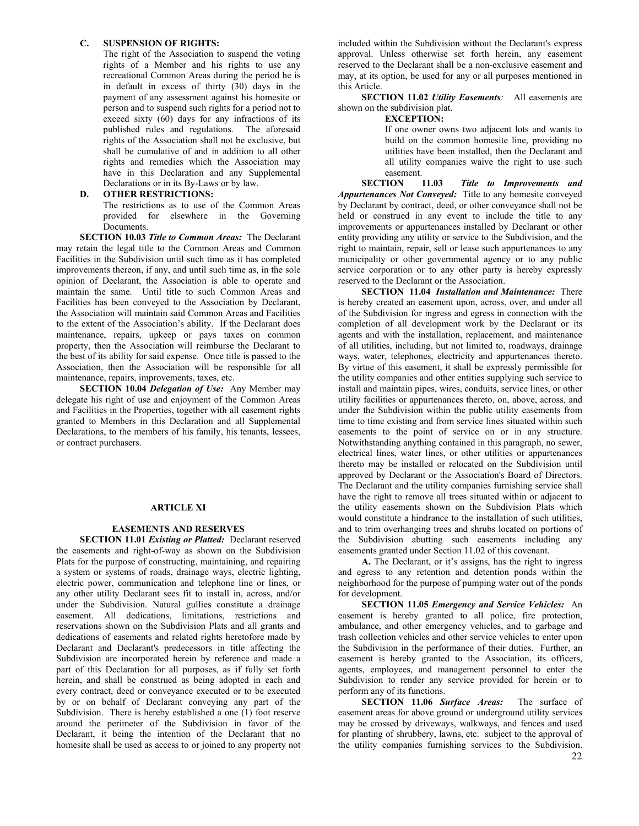### **C. SUSPENSION OF RIGHTS:**

The right of the Association to suspend the voting rights of a Member and his rights to use any recreational Common Areas during the period he is in default in excess of thirty (30) days in the payment of any assessment against his homesite or person and to suspend such rights for a period not to exceed sixty (60) days for any infractions of its published rules and regulations. The aforesaid rights of the Association shall not be exclusive, but shall be cumulative of and in addition to all other rights and remedies which the Association may have in this Declaration and any Supplemental Declarations or in its By-Laws or by law.

### **D. OTHER RESTRICTIONS:**

The restrictions as to use of the Common Areas provided for elsewhere in the Governing Documents.

**SECTION 10.03** *Title to Common Areas:* The Declarant may retain the legal title to the Common Areas and Common Facilities in the Subdivision until such time as it has completed improvements thereon, if any, and until such time as, in the sole opinion of Declarant, the Association is able to operate and maintain the same. Until title to such Common Areas and Facilities has been conveyed to the Association by Declarant, the Association will maintain said Common Areas and Facilities to the extent of the Association's ability. If the Declarant does maintenance, repairs, upkeep or pays taxes on common property, then the Association will reimburse the Declarant to the best of its ability for said expense. Once title is passed to the Association, then the Association will be responsible for all maintenance, repairs, improvements, taxes, etc.

**SECTION 10.04** *Delegation of Use:* Any Member may delegate his right of use and enjoyment of the Common Areas and Facilities in the Properties, together with all easement rights granted to Members in this Declaration and all Supplemental Declarations, to the members of his family, his tenants, lessees, or contract purchasers.

#### **ARTICLE XI**

#### **EASEMENTS AND RESERVES**

**SECTION 11.01** *Existing or Platted:* Declarant reserved the easements and right-of-way as shown on the Subdivision Plats for the purpose of constructing, maintaining, and repairing a system or systems of roads, drainage ways, electric lighting, electric power, communication and telephone line or lines, or any other utility Declarant sees fit to install in, across, and/or under the Subdivision. Natural gullies constitute a drainage easement. All dedications, limitations, restrictions and reservations shown on the Subdivision Plats and all grants and dedications of easements and related rights heretofore made by Declarant and Declarant's predecessors in title affecting the Subdivision are incorporated herein by reference and made a part of this Declaration for all purposes, as if fully set forth herein, and shall be construed as being adopted in each and every contract, deed or conveyance executed or to be executed by or on behalf of Declarant conveying any part of the Subdivision. There is hereby established a one (1) foot reserve around the perimeter of the Subdivision in favor of the Declarant, it being the intention of the Declarant that no homesite shall be used as access to or joined to any property not

included within the Subdivision without the Declarant's express approval. Unless otherwise set forth herein, any easement reserved to the Declarant shall be a non-exclusive easement and may, at its option, be used for any or all purposes mentioned in this Article.

**SECTION 11.02** *Utility Easements:* All easements are shown on the subdivision plat.

#### **EXCEPTION:**

If one owner owns two adjacent lots and wants to build on the common homesite line, providing no utilities have been installed, then the Declarant and all utility companies waive the right to use such easement.

**SECTION 11.03** *Title to Improvements and Appurtenances Not Conveyed:* Title to any homesite conveyed by Declarant by contract, deed, or other conveyance shall not be held or construed in any event to include the title to any improvements or appurtenances installed by Declarant or other entity providing any utility or service to the Subdivision, and the right to maintain, repair, sell or lease such appurtenances to any municipality or other governmental agency or to any public service corporation or to any other party is hereby expressly reserved to the Declarant or the Association.

**SECTION 11.04** *Installation and Maintenance:* There is hereby created an easement upon, across, over, and under all of the Subdivision for ingress and egress in connection with the completion of all development work by the Declarant or its agents and with the installation, replacement, and maintenance of all utilities, including, but not limited to, roadways, drainage ways, water, telephones, electricity and appurtenances thereto. By virtue of this easement, it shall be expressly permissible for the utility companies and other entities supplying such service to install and maintain pipes, wires, conduits, service lines, or other utility facilities or appurtenances thereto, on, above, across, and under the Subdivision within the public utility easements from time to time existing and from service lines situated within such easements to the point of service on or in any structure. Notwithstanding anything contained in this paragraph, no sewer, electrical lines, water lines, or other utilities or appurtenances thereto may be installed or relocated on the Subdivision until approved by Declarant or the Association's Board of Directors. The Declarant and the utility companies furnishing service shall have the right to remove all trees situated within or adjacent to the utility easements shown on the Subdivision Plats which would constitute a hindrance to the installation of such utilities, and to trim overhanging trees and shrubs located on portions of the Subdivision abutting such easements including any easements granted under Section 11.02 of this covenant.

**A.** The Declarant, or it's assigns, has the right to ingress and egress to any retention and detention ponds within the neighborhood for the purpose of pumping water out of the ponds for development.

**SECTION 11.05** *Emergency and Service Vehicles:* An easement is hereby granted to all police, fire protection, ambulance, and other emergency vehicles, and to garbage and trash collection vehicles and other service vehicles to enter upon the Subdivision in the performance of their duties. Further, an easement is hereby granted to the Association, its officers, agents, employees, and management personnel to enter the Subdivision to render any service provided for herein or to perform any of its functions.

**SECTION 11.06** *Surface Areas:* The surface of easement areas for above ground or underground utility services may be crossed by driveways, walkways, and fences and used for planting of shrubbery, lawns, etc. subject to the approval of the utility companies furnishing services to the Subdivision.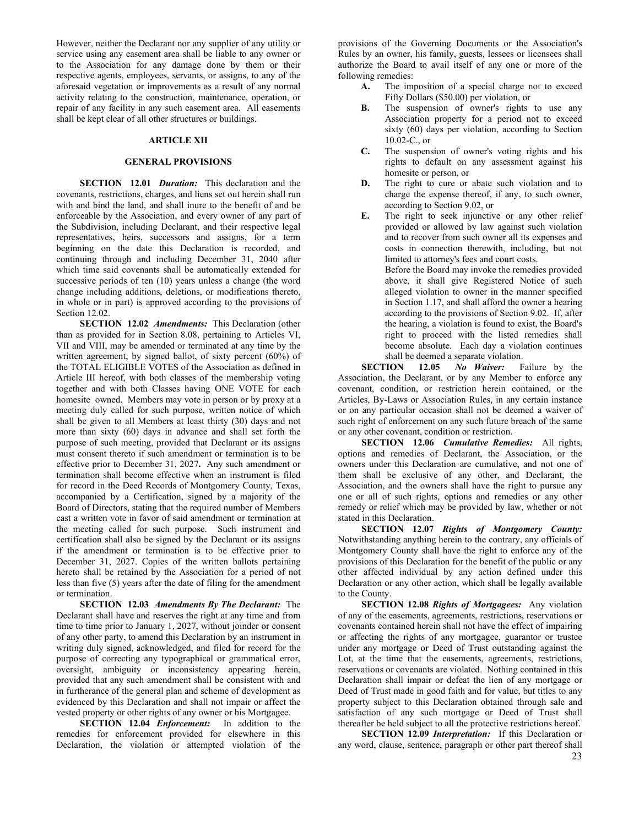However, neither the Declarant nor any supplier of any utility or service using any easement area shall be liable to any owner or to the Association for any damage done by them or their respective agents, employees, servants, or assigns, to any of the aforesaid vegetation or improvements as a result of any normal activity relating to the construction, maintenance, operation, or repair of any facility in any such easement area. All easements shall be kept clear of all other structures or buildings.

#### **ARTICLE XII**

### **GENERAL PROVISIONS**

**SECTION 12.01** *Duration:* This declaration and the covenants, restrictions, charges, and liens set out herein shall run with and bind the land, and shall inure to the benefit of and be enforceable by the Association, and every owner of any part of the Subdivision, including Declarant, and their respective legal representatives, heirs, successors and assigns, for a term beginning on the date this Declaration is recorded, and continuing through and including December 31, 2040 after which time said covenants shall be automatically extended for successive periods of ten (10) years unless a change (the word change including additions, deletions, or modifications thereto, in whole or in part) is approved according to the provisions of Section 12.02.

**SECTION 12.02** *Amendments:* This Declaration (other than as provided for in Section 8.08, pertaining to Articles VI, VII and VIII, may be amended or terminated at any time by the written agreement, by signed ballot, of sixty percent (60%) of the TOTAL ELIGIBLE VOTES of the Association as defined in Article III hereof, with both classes of the membership voting together and with both Classes having ONE VOTE for each homesite owned. Members may vote in person or by proxy at a meeting duly called for such purpose, written notice of which shall be given to all Members at least thirty (30) days and not more than sixty (60) days in advance and shall set forth the purpose of such meeting, provided that Declarant or its assigns must consent thereto if such amendment or termination is to be effective prior to December 31, 2027**.** Any such amendment or termination shall become effective when an instrument is filed for record in the Deed Records of Montgomery County, Texas, accompanied by a Certification, signed by a majority of the Board of Directors, stating that the required number of Members cast a written vote in favor of said amendment or termination at the meeting called for such purpose. Such instrument and certification shall also be signed by the Declarant or its assigns if the amendment or termination is to be effective prior to December 31, 2027. Copies of the written ballots pertaining hereto shall be retained by the Association for a period of not less than five (5) years after the date of filing for the amendment or termination.

**SECTION 12.03** *Amendments By The Declarant:* The Declarant shall have and reserves the right at any time and from time to time prior to January 1, 2027, without joinder or consent of any other party, to amend this Declaration by an instrument in writing duly signed, acknowledged, and filed for record for the purpose of correcting any typographical or grammatical error, oversight, ambiguity or inconsistency appearing herein, provided that any such amendment shall be consistent with and in furtherance of the general plan and scheme of development as evidenced by this Declaration and shall not impair or affect the vested property or other rights of any owner or his Mortgagee.

**SECTION 12.04** *Enforcement:* In addition to the remedies for enforcement provided for elsewhere in this Declaration, the violation or attempted violation of the

provisions of the Governing Documents or the Association's Rules by an owner, his family, guests, lessees or licensees shall authorize the Board to avail itself of any one or more of the following remedies:

- **A.** The imposition of a special charge not to exceed Fifty Dollars (\$50.00) per violation, or
- **B.** The suspension of owner's rights to use any Association property for a period not to exceed sixty (60) days per violation, according to Section 10.02-C., or
- **C.** The suspension of owner's voting rights and his rights to default on any assessment against his homesite or person, or
- **D.** The right to cure or abate such violation and to charge the expense thereof, if any, to such owner, according to Section 9.02, or
- **E.** The right to seek injunctive or any other relief provided or allowed by law against such violation and to recover from such owner all its expenses and costs in connection therewith, including, but not limited to attorney's fees and court costs.

Before the Board may invoke the remedies provided above, it shall give Registered Notice of such alleged violation to owner in the manner specified in Section 1.17, and shall afford the owner a hearing according to the provisions of Section 9.02. If, after the hearing, a violation is found to exist, the Board's right to proceed with the listed remedies shall become absolute. Each day a violation continues shall be deemed a separate violation.<br>SECTION 12.05 No Waiver: F

Failure by the Association, the Declarant, or by any Member to enforce any covenant, condition, or restriction herein contained, or the Articles, By-Laws or Association Rules, in any certain instance or on any particular occasion shall not be deemed a waiver of such right of enforcement on any such future breach of the same or any other covenant, condition or restriction.

**SECTION 12.06** *Cumulative Remedies:* All rights, options and remedies of Declarant, the Association, or the owners under this Declaration are cumulative, and not one of them shall be exclusive of any other, and Declarant, the Association, and the owners shall have the right to pursue any one or all of such rights, options and remedies or any other remedy or relief which may be provided by law, whether or not stated in this Declaration.

**SECTION 12.07** *Rights of Montgomery County:*  Notwithstanding anything herein to the contrary, any officials of Montgomery County shall have the right to enforce any of the provisions of this Declaration for the benefit of the public or any other affected individual by any action defined under this Declaration or any other action, which shall be legally available to the County.

**SECTION 12.08** *Rights of Mortgagees:* Any violation of any of the easements, agreements, restrictions, reservations or covenants contained herein shall not have the effect of impairing or affecting the rights of any mortgagee, guarantor or trustee under any mortgage or Deed of Trust outstanding against the Lot, at the time that the easements, agreements, restrictions, reservations or covenants are violated. Nothing contained in this Declaration shall impair or defeat the lien of any mortgage or Deed of Trust made in good faith and for value, but titles to any property subject to this Declaration obtained through sale and satisfaction of any such mortgage or Deed of Trust shall thereafter be held subject to all the protective restrictions hereof.

**SECTION 12.09** *Interpretation:* If this Declaration or any word, clause, sentence, paragraph or other part thereof shall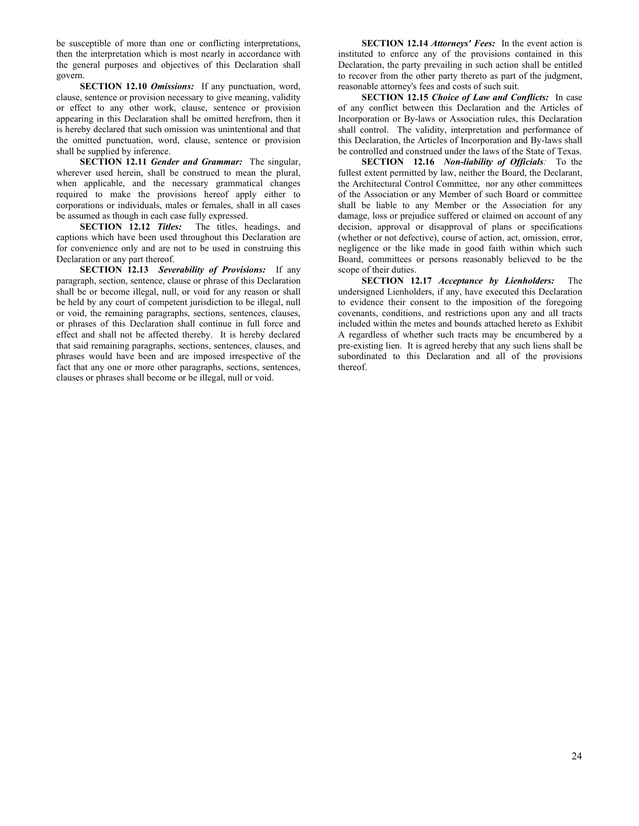be susceptible of more than one or conflicting interpretations, then the interpretation which is most nearly in accordance with the general purposes and objectives of this Declaration shall govern.

**SECTION 12.10** *Omissions:* If any punctuation, word, clause, sentence or provision necessary to give meaning, validity or effect to any other work, clause, sentence or provision appearing in this Declaration shall be omitted herefrom, then it is hereby declared that such omission was unintentional and that the omitted punctuation, word, clause, sentence or provision shall be supplied by inference.

**SECTION 12.11** *Gender and Grammar:* The singular, wherever used herein, shall be construed to mean the plural, when applicable, and the necessary grammatical changes required to make the provisions hereof apply either to corporations or individuals, males or females, shall in all cases be assumed as though in each case fully expressed.

**SECTION 12.12** *Titles:* The titles, headings, and captions which have been used throughout this Declaration are for convenience only and are not to be used in construing this Declaration or any part thereof.

**SECTION 12.13** *Severability of Provisions:* If any paragraph, section, sentence, clause or phrase of this Declaration shall be or become illegal, null, or void for any reason or shall be held by any court of competent jurisdiction to be illegal, null or void, the remaining paragraphs, sections, sentences, clauses, or phrases of this Declaration shall continue in full force and effect and shall not be affected thereby. It is hereby declared that said remaining paragraphs, sections, sentences, clauses, and phrases would have been and are imposed irrespective of the fact that any one or more other paragraphs, sections, sentences, clauses or phrases shall become or be illegal, null or void.

**SECTION 12.14** *Attorneys' Fees:* In the event action is instituted to enforce any of the provisions contained in this Declaration, the party prevailing in such action shall be entitled to recover from the other party thereto as part of the judgment, reasonable attorney's fees and costs of such suit.

**SECTION 12.15** *Choice of Law and Conflicts:* In case of any conflict between this Declaration and the Articles of Incorporation or By-laws or Association rules, this Declaration shall control. The validity, interpretation and performance of this Declaration, the Articles of Incorporation and By-laws shall be controlled and construed under the laws of the State of Texas.

**SECTION 12.16** *Non-liability of Officials:* To the fullest extent permitted by law, neither the Board, the Declarant, the Architectural Control Committee, nor any other committees of the Association or any Member of such Board or committee shall be liable to any Member or the Association for any damage, loss or prejudice suffered or claimed on account of any decision, approval or disapproval of plans or specifications (whether or not defective), course of action, act, omission, error, negligence or the like made in good faith within which such Board, committees or persons reasonably believed to be the scope of their duties.

**SECTION 12.17** *Acceptance by Lienholders:* The undersigned Lienholders, if any, have executed this Declaration to evidence their consent to the imposition of the foregoing covenants, conditions, and restrictions upon any and all tracts included within the metes and bounds attached hereto as Exhibit A regardless of whether such tracts may be encumbered by a pre-existing lien. It is agreed hereby that any such liens shall be subordinated to this Declaration and all of the provisions thereof.